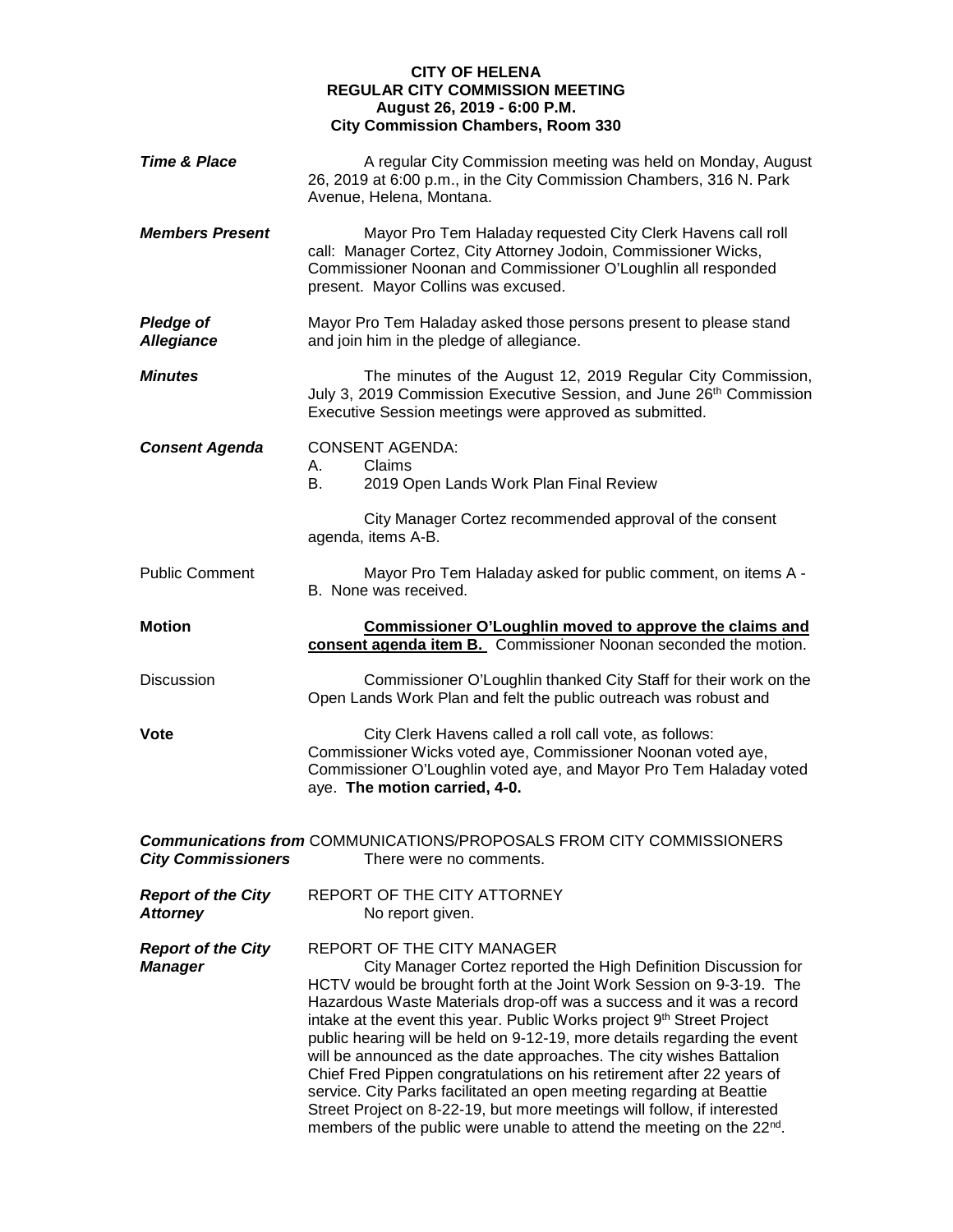## **CITY OF HELENA REGULAR CITY COMMISSION MEETING August 26, 2019 - 6:00 P.M. City Commission Chambers, Room 330**

| <b>Time &amp; Place</b>                      | A regular City Commission meeting was held on Monday, August<br>26, 2019 at 6:00 p.m., in the City Commission Chambers, 316 N. Park<br>Avenue, Helena, Montana.                                                                                                                                                                                                                                                                                                                                                                                                                                                                                                                                                                                                                                         |  |  |
|----------------------------------------------|---------------------------------------------------------------------------------------------------------------------------------------------------------------------------------------------------------------------------------------------------------------------------------------------------------------------------------------------------------------------------------------------------------------------------------------------------------------------------------------------------------------------------------------------------------------------------------------------------------------------------------------------------------------------------------------------------------------------------------------------------------------------------------------------------------|--|--|
| <b>Members Present</b>                       | Mayor Pro Tem Haladay requested City Clerk Havens call roll<br>call: Manager Cortez, City Attorney Jodoin, Commissioner Wicks,<br>Commissioner Noonan and Commissioner O'Loughlin all responded<br>present. Mayor Collins was excused.                                                                                                                                                                                                                                                                                                                                                                                                                                                                                                                                                                  |  |  |
| <b>Pledge of</b><br><b>Allegiance</b>        | Mayor Pro Tem Haladay asked those persons present to please stand<br>and join him in the pledge of allegiance.                                                                                                                                                                                                                                                                                                                                                                                                                                                                                                                                                                                                                                                                                          |  |  |
| <b>Minutes</b>                               | The minutes of the August 12, 2019 Regular City Commission,<br>July 3, 2019 Commission Executive Session, and June 26th Commission<br>Executive Session meetings were approved as submitted.                                                                                                                                                                                                                                                                                                                                                                                                                                                                                                                                                                                                            |  |  |
| <b>Consent Agenda</b>                        | <b>CONSENT AGENDA:</b><br>Claims<br>А.<br>В.<br>2019 Open Lands Work Plan Final Review                                                                                                                                                                                                                                                                                                                                                                                                                                                                                                                                                                                                                                                                                                                  |  |  |
|                                              | City Manager Cortez recommended approval of the consent<br>agenda, items A-B.                                                                                                                                                                                                                                                                                                                                                                                                                                                                                                                                                                                                                                                                                                                           |  |  |
| <b>Public Comment</b>                        | Mayor Pro Tem Haladay asked for public comment, on items A -<br>B. None was received.                                                                                                                                                                                                                                                                                                                                                                                                                                                                                                                                                                                                                                                                                                                   |  |  |
| <b>Motion</b>                                | Commissioner O'Loughlin moved to approve the claims and<br>consent agenda item B. Commissioner Noonan seconded the motion.                                                                                                                                                                                                                                                                                                                                                                                                                                                                                                                                                                                                                                                                              |  |  |
| <b>Discussion</b>                            | Commissioner O'Loughlin thanked City Staff for their work on the<br>Open Lands Work Plan and felt the public outreach was robust and                                                                                                                                                                                                                                                                                                                                                                                                                                                                                                                                                                                                                                                                    |  |  |
| <b>Vote</b>                                  | City Clerk Havens called a roll call vote, as follows:<br>Commissioner Wicks voted aye, Commissioner Noonan voted aye,<br>Commissioner O'Loughlin voted aye, and Mayor Pro Tem Haladay voted<br>aye. The motion carried, 4-0.                                                                                                                                                                                                                                                                                                                                                                                                                                                                                                                                                                           |  |  |
| <b>City Commissioners</b>                    | <b>Communications from COMMUNICATIONS/PROPOSALS FROM CITY COMMISSIONERS</b><br>There were no comments.                                                                                                                                                                                                                                                                                                                                                                                                                                                                                                                                                                                                                                                                                                  |  |  |
| <b>Report of the City</b><br><b>Attorney</b> | REPORT OF THE CITY ATTORNEY<br>No report given.                                                                                                                                                                                                                                                                                                                                                                                                                                                                                                                                                                                                                                                                                                                                                         |  |  |
| <b>Report of the City</b><br><b>Manager</b>  | REPORT OF THE CITY MANAGER<br>City Manager Cortez reported the High Definition Discussion for<br>HCTV would be brought forth at the Joint Work Session on 9-3-19. The<br>Hazardous Waste Materials drop-off was a success and it was a record<br>intake at the event this year. Public Works project 9 <sup>th</sup> Street Project<br>public hearing will be held on 9-12-19, more details regarding the event<br>will be announced as the date approaches. The city wishes Battalion<br>Chief Fred Pippen congratulations on his retirement after 22 years of<br>service. City Parks facilitated an open meeting regarding at Beattie<br>Street Project on 8-22-19, but more meetings will follow, if interested<br>members of the public were unable to attend the meeting on the 22 <sup>nd</sup> . |  |  |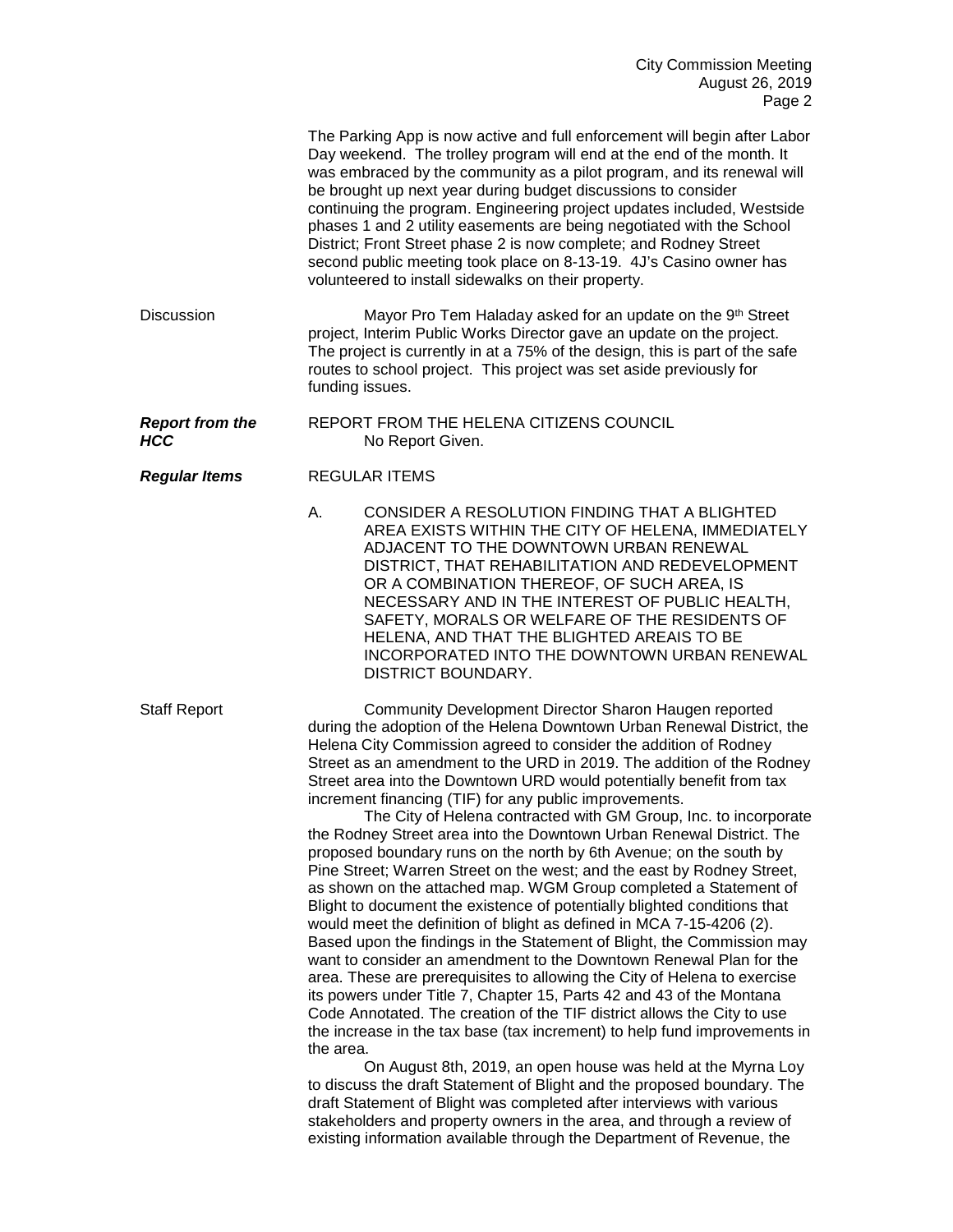|                                      | The Parking App is now active and full enforcement will begin after Labor<br>Day weekend. The trolley program will end at the end of the month. It<br>was embraced by the community as a pilot program, and its renewal will<br>be brought up next year during budget discussions to consider<br>continuing the program. Engineering project updates included, Westside<br>phases 1 and 2 utility easements are being negotiated with the School<br>District; Front Street phase 2 is now complete; and Rodney Street<br>second public meeting took place on 8-13-19. 4J's Casino owner has<br>volunteered to install sidewalks on their property.                                                                                                                                                                                                                                                                                                                                                                                                                                                                                                                                                                                                                                                                                                                                                                                                                                                                                                                                                                                                                                                                                                                                |  |
|--------------------------------------|-----------------------------------------------------------------------------------------------------------------------------------------------------------------------------------------------------------------------------------------------------------------------------------------------------------------------------------------------------------------------------------------------------------------------------------------------------------------------------------------------------------------------------------------------------------------------------------------------------------------------------------------------------------------------------------------------------------------------------------------------------------------------------------------------------------------------------------------------------------------------------------------------------------------------------------------------------------------------------------------------------------------------------------------------------------------------------------------------------------------------------------------------------------------------------------------------------------------------------------------------------------------------------------------------------------------------------------------------------------------------------------------------------------------------------------------------------------------------------------------------------------------------------------------------------------------------------------------------------------------------------------------------------------------------------------------------------------------------------------------------------------------------------------|--|
| <b>Discussion</b>                    | Mayor Pro Tem Haladay asked for an update on the 9th Street<br>project, Interim Public Works Director gave an update on the project.<br>The project is currently in at a 75% of the design, this is part of the safe<br>routes to school project. This project was set aside previously for<br>funding issues.                                                                                                                                                                                                                                                                                                                                                                                                                                                                                                                                                                                                                                                                                                                                                                                                                                                                                                                                                                                                                                                                                                                                                                                                                                                                                                                                                                                                                                                                    |  |
| <b>Report from the</b><br><b>HCC</b> | REPORT FROM THE HELENA CITIZENS COUNCIL<br>No Report Given.                                                                                                                                                                                                                                                                                                                                                                                                                                                                                                                                                                                                                                                                                                                                                                                                                                                                                                                                                                                                                                                                                                                                                                                                                                                                                                                                                                                                                                                                                                                                                                                                                                                                                                                       |  |
| <b>Regular Items</b>                 | <b>REGULAR ITEMS</b>                                                                                                                                                                                                                                                                                                                                                                                                                                                                                                                                                                                                                                                                                                                                                                                                                                                                                                                                                                                                                                                                                                                                                                                                                                                                                                                                                                                                                                                                                                                                                                                                                                                                                                                                                              |  |
|                                      | CONSIDER A RESOLUTION FINDING THAT A BLIGHTED<br>А.<br>AREA EXISTS WITHIN THE CITY OF HELENA, IMMEDIATELY<br>ADJACENT TO THE DOWNTOWN URBAN RENEWAL<br>DISTRICT, THAT REHABILITATION AND REDEVELOPMENT<br>OR A COMBINATION THEREOF, OF SUCH AREA, IS<br>NECESSARY AND IN THE INTEREST OF PUBLIC HEALTH,<br>SAFETY, MORALS OR WELFARE OF THE RESIDENTS OF<br>HELENA, AND THAT THE BLIGHTED AREAIS TO BE<br>INCORPORATED INTO THE DOWNTOWN URBAN RENEWAL<br>DISTRICT BOUNDARY.                                                                                                                                                                                                                                                                                                                                                                                                                                                                                                                                                                                                                                                                                                                                                                                                                                                                                                                                                                                                                                                                                                                                                                                                                                                                                                      |  |
| <b>Staff Report</b>                  | Community Development Director Sharon Haugen reported<br>during the adoption of the Helena Downtown Urban Renewal District, the<br>Helena City Commission agreed to consider the addition of Rodney<br>Street as an amendment to the URD in 2019. The addition of the Rodney<br>Street area into the Downtown URD would potentially benefit from tax<br>increment financing (TIF) for any public improvements.<br>The City of Helena contracted with GM Group, Inc. to incorporate<br>the Rodney Street area into the Downtown Urban Renewal District. The<br>proposed boundary runs on the north by 6th Avenue; on the south by<br>Pine Street; Warren Street on the west; and the east by Rodney Street,<br>as shown on the attached map. WGM Group completed a Statement of<br>Blight to document the existence of potentially blighted conditions that<br>would meet the definition of blight as defined in MCA 7-15-4206 (2).<br>Based upon the findings in the Statement of Blight, the Commission may<br>want to consider an amendment to the Downtown Renewal Plan for the<br>area. These are prerequisites to allowing the City of Helena to exercise<br>its powers under Title 7, Chapter 15, Parts 42 and 43 of the Montana<br>Code Annotated. The creation of the TIF district allows the City to use<br>the increase in the tax base (tax increment) to help fund improvements in<br>the area.<br>On August 8th, 2019, an open house was held at the Myrna Loy<br>to discuss the draft Statement of Blight and the proposed boundary. The<br>draft Statement of Blight was completed after interviews with various<br>stakeholders and property owners in the area, and through a review of<br>existing information available through the Department of Revenue, the |  |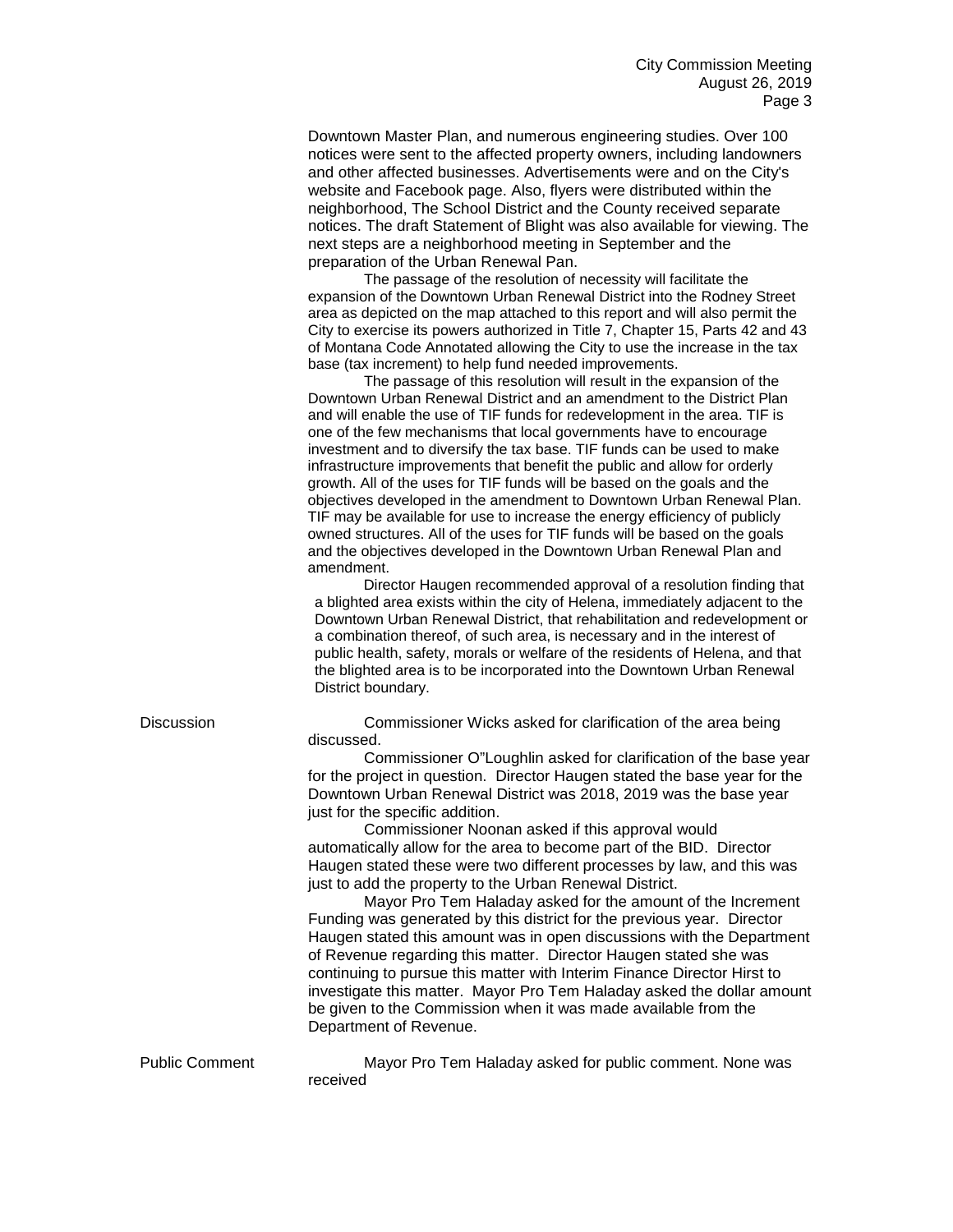Downtown Master Plan, and numerous engineering studies. Over 100 notices were sent to the affected property owners, including landowners and other affected businesses. Advertisements were and on the City's website and Facebook page. Also, flyers were distributed within the neighborhood, The School District and the County received separate notices. The draft Statement of Blight was also available for viewing. The next steps are a neighborhood meeting in September and the preparation of the Urban Renewal Pan.

The passage of the resolution of necessity will facilitate the expansion of the Downtown Urban Renewal District into the Rodney Street area as depicted on the map attached to this report and will also permit the City to exercise its powers authorized in Title 7, Chapter 15, Parts 42 and 43 of Montana Code Annotated allowing the City to use the increase in the tax base (tax increment) to help fund needed improvements.

The passage of this resolution will result in the expansion of the Downtown Urban Renewal District and an amendment to the District Plan and will enable the use of TIF funds for redevelopment in the area. TIF is one of the few mechanisms that local governments have to encourage investment and to diversify the tax base. TIF funds can be used to make infrastructure improvements that benefit the public and allow for orderly growth. All of the uses for TIF funds will be based on the goals and the objectives developed in the amendment to Downtown Urban Renewal Plan. TIF may be available for use to increase the energy efficiency of publicly owned structures. All of the uses for TIF funds will be based on the goals and the objectives developed in the Downtown Urban Renewal Plan and amendment.

Director Haugen recommended approval of a resolution finding that a blighted area exists within the city of Helena, immediately adjacent to the Downtown Urban Renewal District, that rehabilitation and redevelopment or a combination thereof, of such area, is necessary and in the interest of public health, safety, morals or welfare of the residents of Helena, and that the blighted area is to be incorporated into the Downtown Urban Renewal District boundary.

Discussion Commissioner Wicks asked for clarification of the area being discussed.

> Commissioner O"Loughlin asked for clarification of the base year for the project in question. Director Haugen stated the base year for the Downtown Urban Renewal District was 2018, 2019 was the base year just for the specific addition.

Commissioner Noonan asked if this approval would automatically allow for the area to become part of the BID. Director Haugen stated these were two different processes by law, and this was just to add the property to the Urban Renewal District.

Mayor Pro Tem Haladay asked for the amount of the Increment Funding was generated by this district for the previous year. Director Haugen stated this amount was in open discussions with the Department of Revenue regarding this matter. Director Haugen stated she was continuing to pursue this matter with Interim Finance Director Hirst to investigate this matter. Mayor Pro Tem Haladay asked the dollar amount be given to the Commission when it was made available from the Department of Revenue.

Public Comment Mayor Pro Tem Haladay asked for public comment. None was received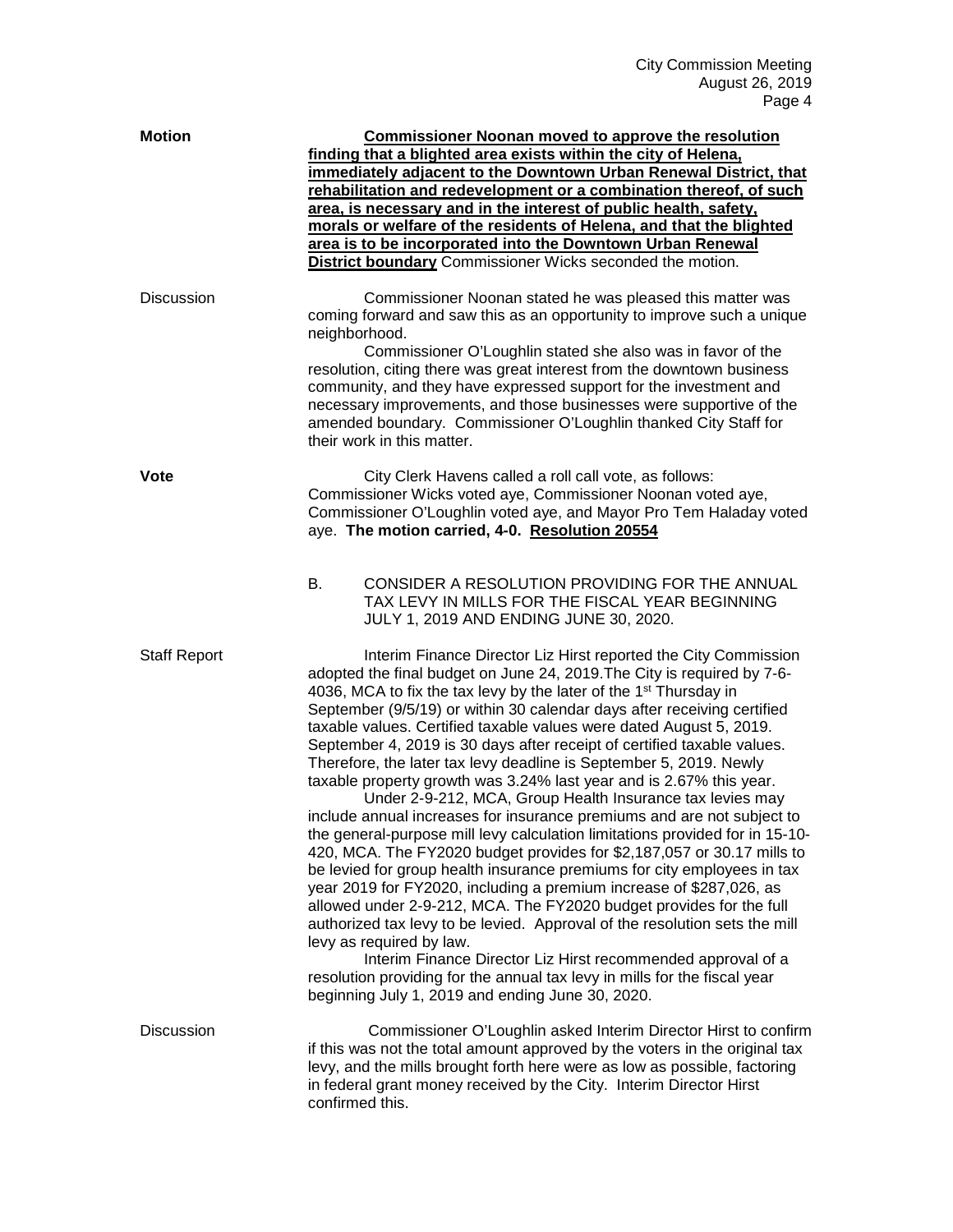| <b>Motion</b>       | <b>Commissioner Noonan moved to approve the resolution</b><br>finding that a blighted area exists within the city of Helena,<br>immediately adjacent to the Downtown Urban Renewal District, that<br>rehabilitation and redevelopment or a combination thereof, of such<br>area, is necessary and in the interest of public health, safety,<br>morals or welfare of the residents of Helena, and that the blighted<br>area is to be incorporated into the Downtown Urban Renewal<br><b>District boundary</b> Commissioner Wicks seconded the motion.                                                                                                                                                                                                                                                                                                                                                                                                                                                                                                                                                                                                                                                                                                                                                                                                                                                                                       |
|---------------------|--------------------------------------------------------------------------------------------------------------------------------------------------------------------------------------------------------------------------------------------------------------------------------------------------------------------------------------------------------------------------------------------------------------------------------------------------------------------------------------------------------------------------------------------------------------------------------------------------------------------------------------------------------------------------------------------------------------------------------------------------------------------------------------------------------------------------------------------------------------------------------------------------------------------------------------------------------------------------------------------------------------------------------------------------------------------------------------------------------------------------------------------------------------------------------------------------------------------------------------------------------------------------------------------------------------------------------------------------------------------------------------------------------------------------------------------|
| <b>Discussion</b>   | Commissioner Noonan stated he was pleased this matter was<br>coming forward and saw this as an opportunity to improve such a unique<br>neighborhood.<br>Commissioner O'Loughlin stated she also was in favor of the<br>resolution, citing there was great interest from the downtown business<br>community, and they have expressed support for the investment and<br>necessary improvements, and those businesses were supportive of the<br>amended boundary. Commissioner O'Loughlin thanked City Staff for<br>their work in this matter.                                                                                                                                                                                                                                                                                                                                                                                                                                                                                                                                                                                                                                                                                                                                                                                                                                                                                                |
| <b>Vote</b>         | City Clerk Havens called a roll call vote, as follows:<br>Commissioner Wicks voted aye, Commissioner Noonan voted aye,<br>Commissioner O'Loughlin voted aye, and Mayor Pro Tem Haladay voted<br>aye. The motion carried, 4-0. Resolution 20554<br>В.<br>CONSIDER A RESOLUTION PROVIDING FOR THE ANNUAL<br>TAX LEVY IN MILLS FOR THE FISCAL YEAR BEGINNING<br>JULY 1, 2019 AND ENDING JUNE 30, 2020.                                                                                                                                                                                                                                                                                                                                                                                                                                                                                                                                                                                                                                                                                                                                                                                                                                                                                                                                                                                                                                        |
| <b>Staff Report</b> | Interim Finance Director Liz Hirst reported the City Commission<br>adopted the final budget on June 24, 2019. The City is required by 7-6-<br>4036, MCA to fix the tax levy by the later of the 1 <sup>st</sup> Thursday in<br>September (9/5/19) or within 30 calendar days after receiving certified<br>taxable values. Certified taxable values were dated August 5, 2019.<br>September 4, 2019 is 30 days after receipt of certified taxable values.<br>Therefore, the later tax levy deadline is September 5, 2019. Newly<br>taxable property growth was 3.24% last year and is 2.67% this year.<br>Under 2-9-212, MCA, Group Health Insurance tax levies may<br>include annual increases for insurance premiums and are not subject to<br>the general-purpose mill levy calculation limitations provided for in 15-10-<br>420, MCA. The FY2020 budget provides for \$2,187,057 or 30.17 mills to<br>be levied for group health insurance premiums for city employees in tax<br>year 2019 for FY2020, including a premium increase of \$287,026, as<br>allowed under 2-9-212, MCA. The FY2020 budget provides for the full<br>authorized tax levy to be levied. Approval of the resolution sets the mill<br>levy as required by law.<br>Interim Finance Director Liz Hirst recommended approval of a<br>resolution providing for the annual tax levy in mills for the fiscal year<br>beginning July 1, 2019 and ending June 30, 2020. |
| <b>Discussion</b>   | Commissioner O'Loughlin asked Interim Director Hirst to confirm<br>if this was not the total amount approved by the voters in the original tax<br>levy, and the mills brought forth here were as low as possible, factoring<br>in federal grant money received by the City. Interim Director Hirst<br>confirmed this.                                                                                                                                                                                                                                                                                                                                                                                                                                                                                                                                                                                                                                                                                                                                                                                                                                                                                                                                                                                                                                                                                                                      |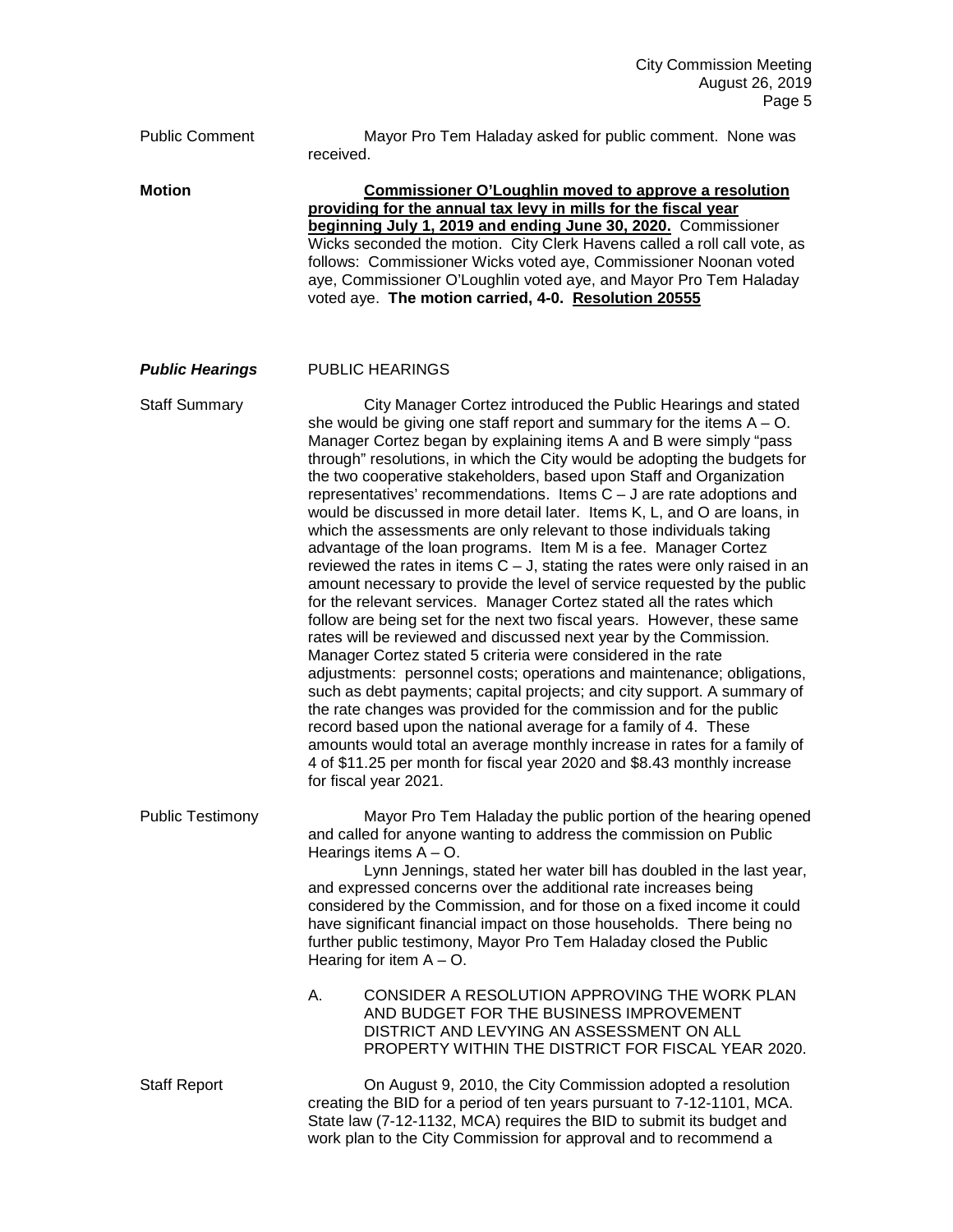Public Comment Mayor Pro Tem Haladay asked for public comment. None was received. **Motion Commissioner O'Loughlin moved to approve a resolution providing for the annual tax levy in mills for the fiscal year beginning July 1, 2019 and ending June 30, 2020.** Commissioner Wicks seconded the motion. City Clerk Havens called a roll call vote, as follows: Commissioner Wicks voted aye, Commissioner Noonan voted aye, Commissioner O'Loughlin voted aye, and Mayor Pro Tem Haladay voted aye. **The motion carried, 4-0. Resolution 20555** *Public Hearings* PUBLIC HEARINGS Staff Summary City Manager Cortez introduced the Public Hearings and stated she would be giving one staff report and summary for the items  $A - O$ . Manager Cortez began by explaining items A and B were simply "pass through" resolutions, in which the City would be adopting the budgets for the two cooperative stakeholders, based upon Staff and Organization representatives' recommendations. Items C – J are rate adoptions and would be discussed in more detail later. Items K, L, and O are loans, in which the assessments are only relevant to those individuals taking advantage of the loan programs. Item M is a fee. Manager Cortez reviewed the rates in items  $C - J$ , stating the rates were only raised in an amount necessary to provide the level of service requested by the public for the relevant services. Manager Cortez stated all the rates which follow are being set for the next two fiscal years. However, these same rates will be reviewed and discussed next year by the Commission. Manager Cortez stated 5 criteria were considered in the rate adjustments: personnel costs; operations and maintenance; obligations, such as debt payments; capital projects; and city support. A summary of the rate changes was provided for the commission and for the public record based upon the national average for a family of 4. These amounts would total an average monthly increase in rates for a family of 4 of \$11.25 per month for fiscal year 2020 and \$8.43 monthly increase for fiscal year 2021. Public Testimony Mayor Pro Tem Haladay the public portion of the hearing opened and called for anyone wanting to address the commission on Public Hearings items  $A - O$ . Lynn Jennings, stated her water bill has doubled in the last year, and expressed concerns over the additional rate increases being considered by the Commission, and for those on a fixed income it could have significant financial impact on those households. There being no further public testimony, Mayor Pro Tem Haladay closed the Public Hearing for item  $A - O$ . A. CONSIDER A RESOLUTION APPROVING THE WORK PLAN AND BUDGET FOR THE BUSINESS IMPROVEMENT DISTRICT AND LEVYING AN ASSESSMENT ON ALL PROPERTY WITHIN THE DISTRICT FOR FISCAL YEAR 2020. Staff Report On August 9, 2010, the City Commission adopted a resolution creating the BID for a period of ten years pursuant to 7-12-1101, MCA. State law (7-12-1132, MCA) requires the BID to submit its budget and work plan to the City Commission for approval and to recommend a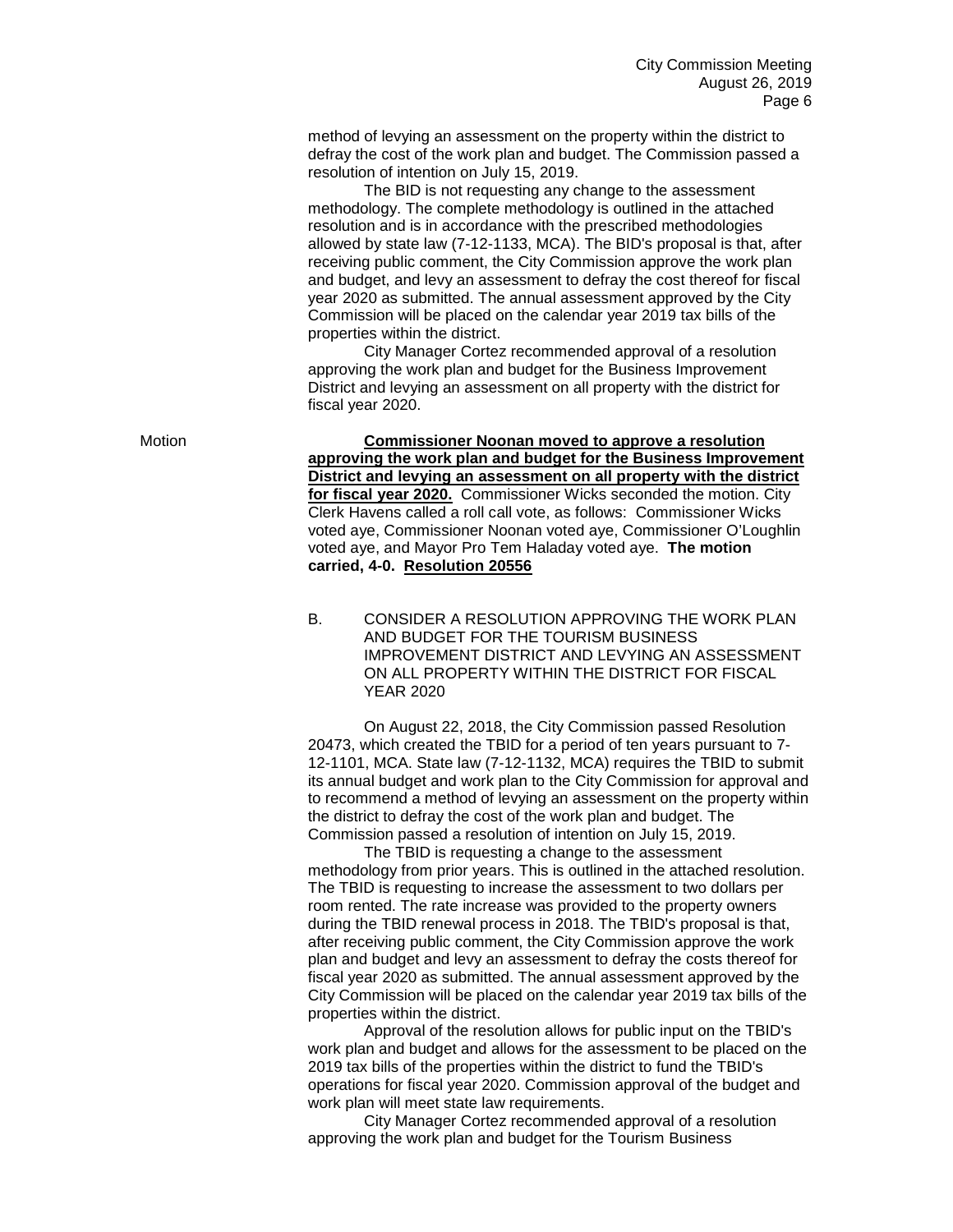method of levying an assessment on the property within the district to defray the cost of the work plan and budget. The Commission passed a resolution of intention on July 15, 2019.

The BID is not requesting any change to the assessment methodology. The complete methodology is outlined in the attached resolution and is in accordance with the prescribed methodologies allowed by state law (7-12-1133, MCA). The BID's proposal is that, after receiving public comment, the City Commission approve the work plan and budget, and levy an assessment to defray the cost thereof for fiscal year 2020 as submitted. The annual assessment approved by the City Commission will be placed on the calendar year 2019 tax bills of the properties within the district.

City Manager Cortez recommended approval of a resolution approving the work plan and budget for the Business Improvement District and levying an assessment on all property with the district for fiscal year 2020.

Motion **Commissioner Noonan moved to approve a resolution approving the work plan and budget for the Business Improvement District and levying an assessment on all property with the district for fiscal year 2020.** Commissioner Wicks seconded the motion. City Clerk Havens called a roll call vote, as follows: Commissioner Wicks voted aye, Commissioner Noonan voted aye, Commissioner O'Loughlin voted aye, and Mayor Pro Tem Haladay voted aye. **The motion carried, 4-0. Resolution 20556**

> B. CONSIDER A RESOLUTION APPROVING THE WORK PLAN AND BUDGET FOR THE TOURISM BUSINESS IMPROVEMENT DISTRICT AND LEVYING AN ASSESSMENT ON ALL PROPERTY WITHIN THE DISTRICT FOR FISCAL YEAR 2020

On August 22, 2018, the City Commission passed Resolution 20473, which created the TBID for a period of ten years pursuant to 7- 12-1101, MCA. State law (7-12-1132, MCA) requires the TBID to submit its annual budget and work plan to the City Commission for approval and to recommend a method of levying an assessment on the property within the district to defray the cost of the work plan and budget. The Commission passed a resolution of intention on July 15, 2019.

The TBID is requesting a change to the assessment methodology from prior years. This is outlined in the attached resolution. The TBID is requesting to increase the assessment to two dollars per room rented. The rate increase was provided to the property owners during the TBID renewal process in 2018. The TBID's proposal is that, after receiving public comment, the City Commission approve the work plan and budget and levy an assessment to defray the costs thereof for fiscal year 2020 as submitted. The annual assessment approved by the City Commission will be placed on the calendar year 2019 tax bills of the properties within the district.

Approval of the resolution allows for public input on the TBID's work plan and budget and allows for the assessment to be placed on the 2019 tax bills of the properties within the district to fund the TBID's operations for fiscal year 2020. Commission approval of the budget and work plan will meet state law requirements.

City Manager Cortez recommended approval of a resolution approving the work plan and budget for the Tourism Business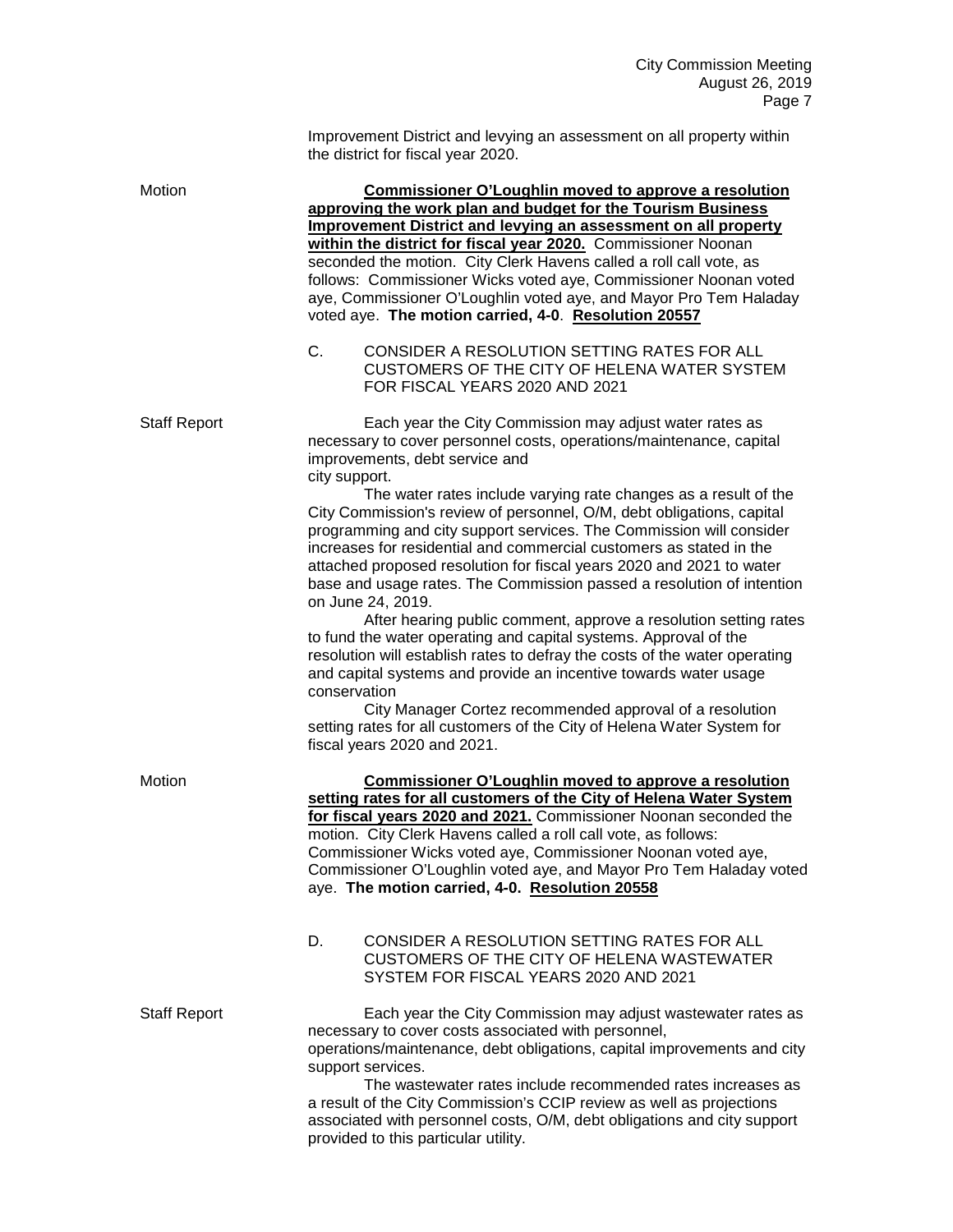Improvement District and levying an assessment on all property within the district for fiscal year 2020. Motion **Commissioner O'Loughlin moved to approve a resolution approving the work plan and budget for the Tourism Business Improvement District and levying an assessment on all property within the district for fiscal year 2020.** Commissioner Noonan seconded the motion. City Clerk Havens called a roll call vote, as follows: Commissioner Wicks voted aye, Commissioner Noonan voted aye, Commissioner O'Loughlin voted aye, and Mayor Pro Tem Haladay voted aye. **The motion carried, 4-0**. **Resolution 20557** C. CONSIDER A RESOLUTION SETTING RATES FOR ALL CUSTOMERS OF THE CITY OF HELENA WATER SYSTEM FOR FISCAL YEARS 2020 AND 2021 Staff Report **Each year the City Commission may adjust water rates as** necessary to cover personnel costs, operations/maintenance, capital improvements, debt service and city support. The water rates include varying rate changes as a result of the City Commission's review of personnel, O/M, debt obligations, capital programming and city support services. The Commission will consider increases for residential and commercial customers as stated in the attached proposed resolution for fiscal years 2020 and 2021 to water base and usage rates. The Commission passed a resolution of intention on June 24, 2019. After hearing public comment, approve a resolution setting rates to fund the water operating and capital systems. Approval of the resolution will establish rates to defray the costs of the water operating and capital systems and provide an incentive towards water usage conservation City Manager Cortez recommended approval of a resolution setting rates for all customers of the City of Helena Water System for fiscal years 2020 and 2021. Motion **Commissioner O'Loughlin moved to approve a resolution setting rates for all customers of the City of Helena Water System for fiscal years 2020 and 2021.** Commissioner Noonan seconded the motion. City Clerk Havens called a roll call vote, as follows: Commissioner Wicks voted aye, Commissioner Noonan voted aye, Commissioner O'Loughlin voted aye, and Mayor Pro Tem Haladay voted aye. **The motion carried, 4-0. Resolution 20558** D. CONSIDER A RESOLUTION SETTING RATES FOR ALL CUSTOMERS OF THE CITY OF HELENA WASTEWATER SYSTEM FOR FISCAL YEARS 2020 AND 2021 Staff Report Each year the City Commission may adjust wastewater rates as necessary to cover costs associated with personnel, operations/maintenance, debt obligations, capital improvements and city support services. The wastewater rates include recommended rates increases as a result of the City Commission's CCIP review as well as projections associated with personnel costs, O/M, debt obligations and city support

provided to this particular utility.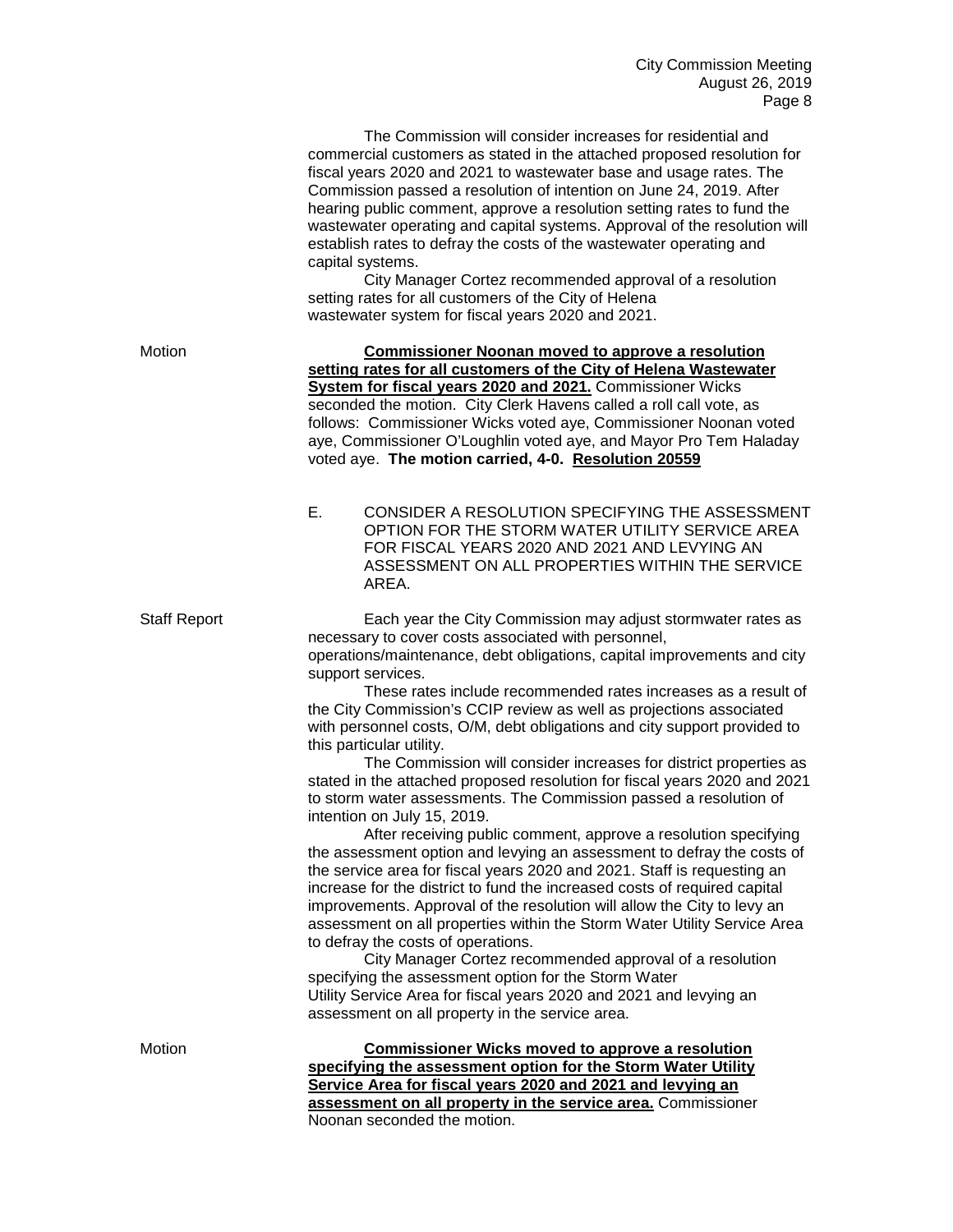| The Commission will consider increases for residential and                |
|---------------------------------------------------------------------------|
| commercial customers as stated in the attached proposed resolution for    |
| fiscal years 2020 and 2021 to wastewater base and usage rates. The        |
| Commission passed a resolution of intention on June 24, 2019. After       |
| hearing public comment, approve a resolution setting rates to fund the    |
| wastewater operating and capital systems. Approval of the resolution will |
| establish rates to defray the costs of the wastewater operating and       |
| capital systems.                                                          |

City Manager Cortez recommended approval of a resolution setting rates for all customers of the City of Helena wastewater system for fiscal years 2020 and 2021.

Motion **Commissioner Noonan moved to approve a resolution setting rates for all customers of the City of Helena Wastewater System for fiscal years 2020 and 2021.** Commissioner Wicks seconded the motion. City Clerk Havens called a roll call vote, as follows: Commissioner Wicks voted aye, Commissioner Noonan voted aye, Commissioner O'Loughlin voted aye, and Mayor Pro Tem Haladay voted aye. **The motion carried, 4-0. Resolution 20559**

> E. CONSIDER A RESOLUTION SPECIFYING THE ASSESSMENT OPTION FOR THE STORM WATER UTILITY SERVICE AREA FOR FISCAL YEARS 2020 AND 2021 AND LEVYING AN ASSESSMENT ON ALL PROPERTIES WITHIN THE SERVICE AREA.

Staff Report Each year the City Commission may adjust stormwater rates as necessary to cover costs associated with personnel, operations/maintenance, debt obligations, capital improvements and city support services.

> These rates include recommended rates increases as a result of the City Commission's CCIP review as well as projections associated with personnel costs, O/M, debt obligations and city support provided to this particular utility.

> The Commission will consider increases for district properties as stated in the attached proposed resolution for fiscal years 2020 and 2021 to storm water assessments. The Commission passed a resolution of intention on July 15, 2019.

> After receiving public comment, approve a resolution specifying the assessment option and levying an assessment to defray the costs of the service area for fiscal years 2020 and 2021. Staff is requesting an increase for the district to fund the increased costs of required capital improvements. Approval of the resolution will allow the City to levy an assessment on all properties within the Storm Water Utility Service Area to defray the costs of operations.

City Manager Cortez recommended approval of a resolution specifying the assessment option for the Storm Water Utility Service Area for fiscal years 2020 and 2021 and levying an assessment on all property in the service area.

Motion **Commissioner Wicks moved to approve a resolution specifying the assessment option for the Storm Water Utility Service Area for fiscal years 2020 and 2021 and levying an assessment on all property in the service area.** Commissioner Noonan seconded the motion.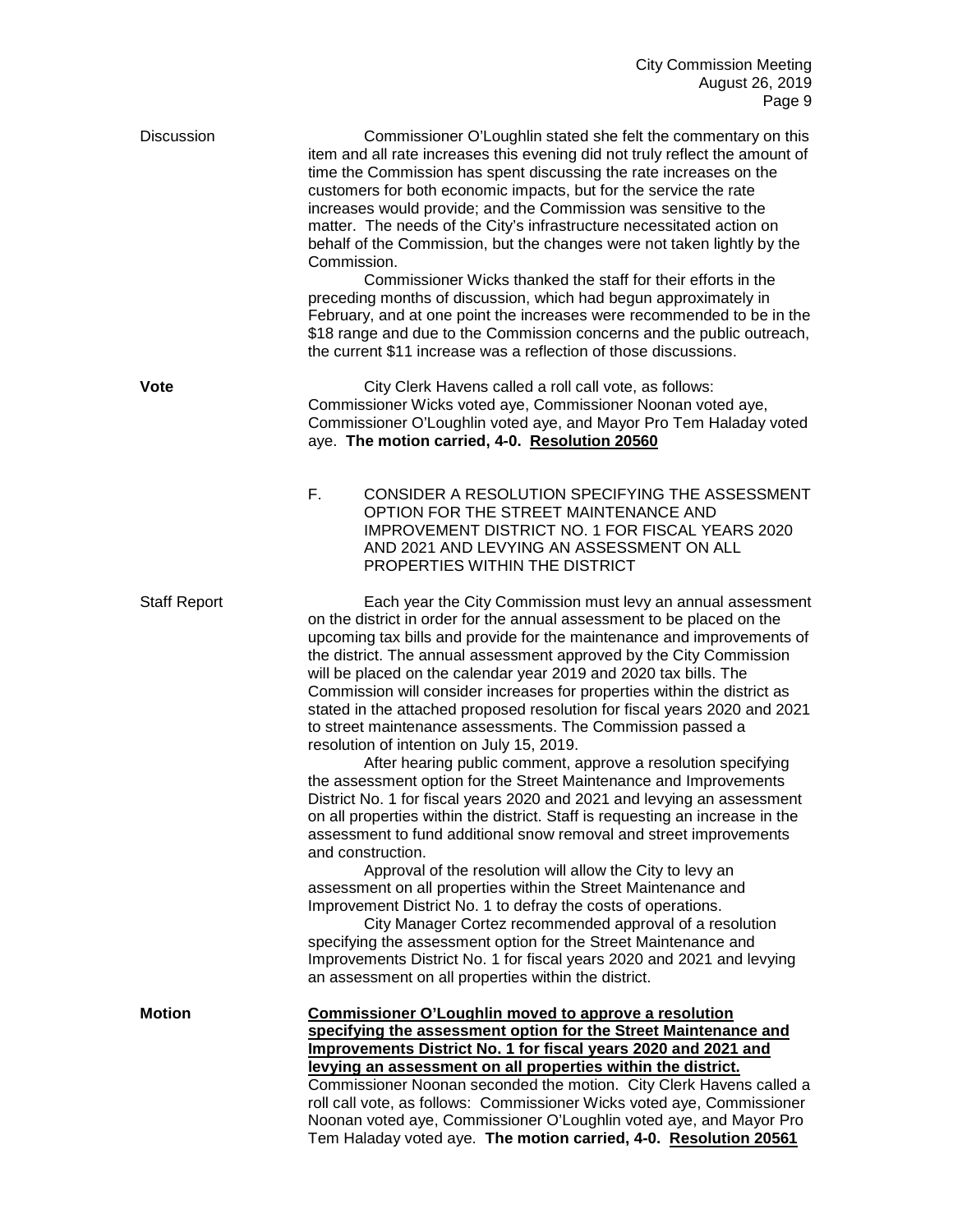| Discussion          | Commissioner O'Loughlin stated she felt the commentary on this<br>item and all rate increases this evening did not truly reflect the amount of<br>time the Commission has spent discussing the rate increases on the<br>customers for both economic impacts, but for the service the rate<br>increases would provide; and the Commission was sensitive to the<br>matter. The needs of the City's infrastructure necessitated action on<br>behalf of the Commission, but the changes were not taken lightly by the<br>Commission.<br>Commissioner Wicks thanked the staff for their efforts in the<br>preceding months of discussion, which had begun approximately in<br>February, and at one point the increases were recommended to be in the<br>\$18 range and due to the Commission concerns and the public outreach,<br>the current \$11 increase was a reflection of those discussions.                                                                                                                                                                                                                                                                                                                                                                                                                                                                                                                                                                                                 |  |
|---------------------|-----------------------------------------------------------------------------------------------------------------------------------------------------------------------------------------------------------------------------------------------------------------------------------------------------------------------------------------------------------------------------------------------------------------------------------------------------------------------------------------------------------------------------------------------------------------------------------------------------------------------------------------------------------------------------------------------------------------------------------------------------------------------------------------------------------------------------------------------------------------------------------------------------------------------------------------------------------------------------------------------------------------------------------------------------------------------------------------------------------------------------------------------------------------------------------------------------------------------------------------------------------------------------------------------------------------------------------------------------------------------------------------------------------------------------------------------------------------------------------------------|--|
| Vote                | City Clerk Havens called a roll call vote, as follows:<br>Commissioner Wicks voted aye, Commissioner Noonan voted aye,<br>Commissioner O'Loughlin voted aye, and Mayor Pro Tem Haladay voted<br>aye. The motion carried, 4-0. Resolution 20560                                                                                                                                                                                                                                                                                                                                                                                                                                                                                                                                                                                                                                                                                                                                                                                                                                                                                                                                                                                                                                                                                                                                                                                                                                                |  |
|                     | F.<br>CONSIDER A RESOLUTION SPECIFYING THE ASSESSMENT<br>OPTION FOR THE STREET MAINTENANCE AND<br><b>IMPROVEMENT DISTRICT NO. 1 FOR FISCAL YEARS 2020</b><br>AND 2021 AND LEVYING AN ASSESSMENT ON ALL<br>PROPERTIES WITHIN THE DISTRICT                                                                                                                                                                                                                                                                                                                                                                                                                                                                                                                                                                                                                                                                                                                                                                                                                                                                                                                                                                                                                                                                                                                                                                                                                                                      |  |
| <b>Staff Report</b> | Each year the City Commission must levy an annual assessment<br>on the district in order for the annual assessment to be placed on the<br>upcoming tax bills and provide for the maintenance and improvements of<br>the district. The annual assessment approved by the City Commission<br>will be placed on the calendar year 2019 and 2020 tax bills. The<br>Commission will consider increases for properties within the district as<br>stated in the attached proposed resolution for fiscal years 2020 and 2021<br>to street maintenance assessments. The Commission passed a<br>resolution of intention on July 15, 2019.<br>After hearing public comment, approve a resolution specifying<br>the assessment option for the Street Maintenance and Improvements<br>District No. 1 for fiscal years 2020 and 2021 and levying an assessment<br>on all properties within the district. Staff is requesting an increase in the<br>assessment to fund additional snow removal and street improvements<br>and construction.<br>Approval of the resolution will allow the City to levy an<br>assessment on all properties within the Street Maintenance and<br>Improvement District No. 1 to defray the costs of operations.<br>City Manager Cortez recommended approval of a resolution<br>specifying the assessment option for the Street Maintenance and<br>Improvements District No. 1 for fiscal years 2020 and 2021 and levying<br>an assessment on all properties within the district. |  |
| <b>Motion</b>       | Commissioner O'Loughlin moved to approve a resolution<br>specifying the assessment option for the Street Maintenance and<br>Improvements District No. 1 for fiscal years 2020 and 2021 and<br>levying an assessment on all properties within the district.<br>Commissioner Noonan seconded the motion. City Clerk Havens called a<br>roll call vote, as follows: Commissioner Wicks voted aye, Commissioner<br>Noonan voted aye, Commissioner O'Loughlin voted aye, and Mayor Pro<br>Tem Haladay voted aye. The motion carried, 4-0. Resolution 20561                                                                                                                                                                                                                                                                                                                                                                                                                                                                                                                                                                                                                                                                                                                                                                                                                                                                                                                                         |  |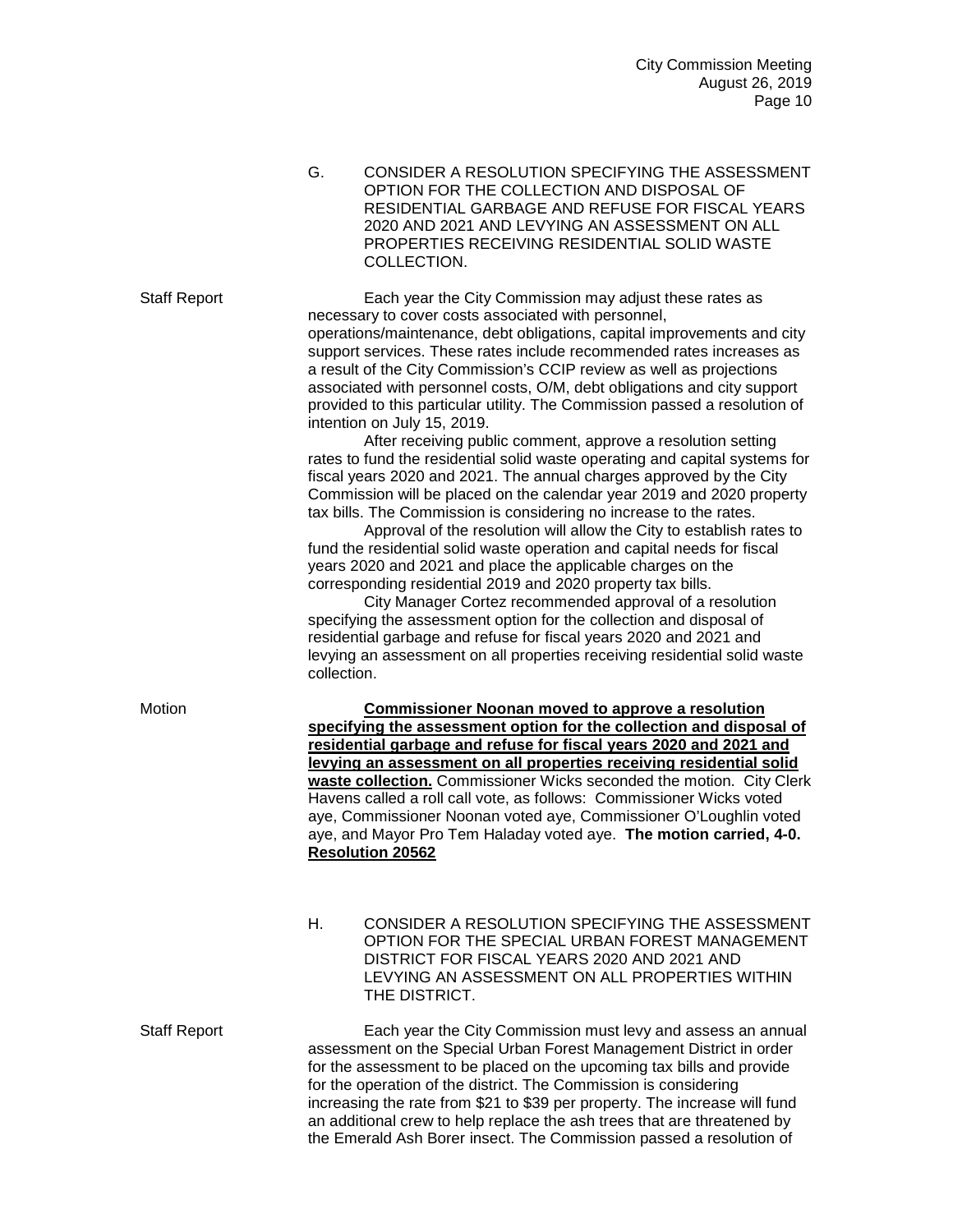G. CONSIDER A RESOLUTION SPECIFYING THE ASSESSMENT OPTION FOR THE COLLECTION AND DISPOSAL OF RESIDENTIAL GARBAGE AND REFUSE FOR FISCAL YEARS 2020 AND 2021 AND LEVYING AN ASSESSMENT ON ALL PROPERTIES RECEIVING RESIDENTIAL SOLID WASTE COLLECTION.

Staff Report Each year the City Commission may adjust these rates as necessary to cover costs associated with personnel, operations/maintenance, debt obligations, capital improvements and city support services. These rates include recommended rates increases as a result of the City Commission's CCIP review as well as projections associated with personnel costs, O/M, debt obligations and city support provided to this particular utility. The Commission passed a resolution of intention on July 15, 2019.

> After receiving public comment, approve a resolution setting rates to fund the residential solid waste operating and capital systems for fiscal years 2020 and 2021. The annual charges approved by the City Commission will be placed on the calendar year 2019 and 2020 property tax bills. The Commission is considering no increase to the rates.

Approval of the resolution will allow the City to establish rates to fund the residential solid waste operation and capital needs for fiscal years 2020 and 2021 and place the applicable charges on the corresponding residential 2019 and 2020 property tax bills.

City Manager Cortez recommended approval of a resolution specifying the assessment option for the collection and disposal of residential garbage and refuse for fiscal years 2020 and 2021 and levying an assessment on all properties receiving residential solid waste collection.

Motion **Commissioner Noonan moved to approve a resolution specifying the assessment option for the collection and disposal of residential garbage and refuse for fiscal years 2020 and 2021 and levying an assessment on all properties receiving residential solid waste collection.** Commissioner Wicks seconded the motion. City Clerk Havens called a roll call vote, as follows: Commissioner Wicks voted aye, Commissioner Noonan voted aye, Commissioner O'Loughlin voted aye, and Mayor Pro Tem Haladay voted aye. **The motion carried, 4-0. Resolution 20562**

> H. CONSIDER A RESOLUTION SPECIFYING THE ASSESSMENT OPTION FOR THE SPECIAL URBAN FOREST MANAGEMENT DISTRICT FOR FISCAL YEARS 2020 AND 2021 AND LEVYING AN ASSESSMENT ON ALL PROPERTIES WITHIN THE DISTRICT.

Staff Report Each year the City Commission must levy and assess an annual assessment on the Special Urban Forest Management District in order for the assessment to be placed on the upcoming tax bills and provide for the operation of the district. The Commission is considering increasing the rate from \$21 to \$39 per property. The increase will fund an additional crew to help replace the ash trees that are threatened by the Emerald Ash Borer insect. The Commission passed a resolution of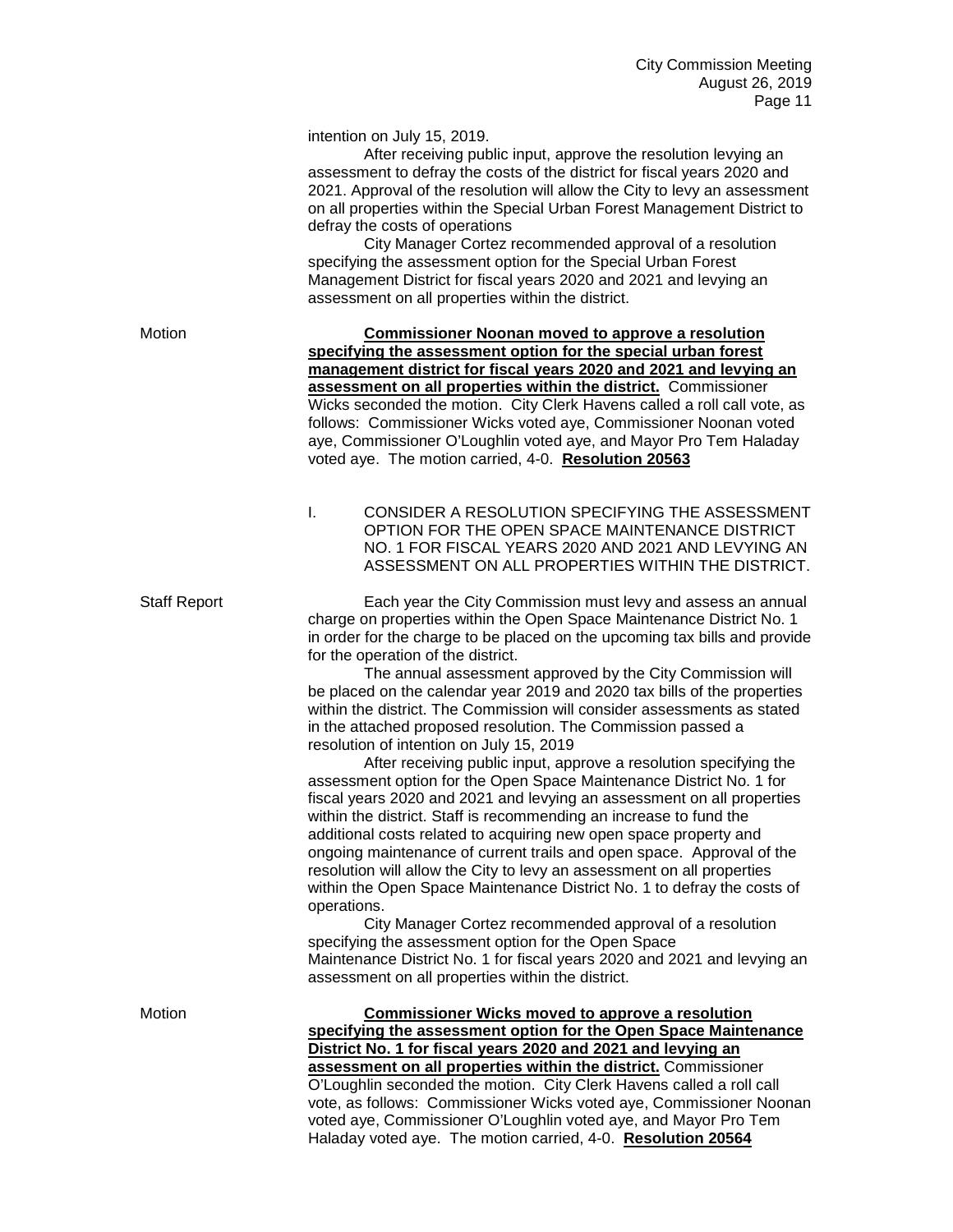intention on July 15, 2019.

After receiving public input, approve the resolution levying an assessment to defray the costs of the district for fiscal years 2020 and 2021. Approval of the resolution will allow the City to levy an assessment on all properties within the Special Urban Forest Management District to defray the costs of operations

City Manager Cortez recommended approval of a resolution specifying the assessment option for the Special Urban Forest Management District for fiscal years 2020 and 2021 and levying an assessment on all properties within the district.

Motion **Commissioner Noonan moved to approve a resolution specifying the assessment option for the special urban forest management district for fiscal years 2020 and 2021 and levying an assessment on all properties within the district.** Commissioner Wicks seconded the motion. City Clerk Havens called a roll call vote, as follows: Commissioner Wicks voted aye, Commissioner Noonan voted aye, Commissioner O'Loughlin voted aye, and Mayor Pro Tem Haladay voted aye. The motion carried, 4-0. **Resolution 20563**

> I. CONSIDER A RESOLUTION SPECIFYING THE ASSESSMENT OPTION FOR THE OPEN SPACE MAINTENANCE DISTRICT NO. 1 FOR FISCAL YEARS 2020 AND 2021 AND LEVYING AN ASSESSMENT ON ALL PROPERTIES WITHIN THE DISTRICT.

Staff Report Each year the City Commission must levy and assess an annual charge on properties within the Open Space Maintenance District No. 1 in order for the charge to be placed on the upcoming tax bills and provide for the operation of the district.

> The annual assessment approved by the City Commission will be placed on the calendar year 2019 and 2020 tax bills of the properties within the district. The Commission will consider assessments as stated in the attached proposed resolution. The Commission passed a resolution of intention on July 15, 2019

> After receiving public input, approve a resolution specifying the assessment option for the Open Space Maintenance District No. 1 for fiscal years 2020 and 2021 and levying an assessment on all properties within the district. Staff is recommending an increase to fund the additional costs related to acquiring new open space property and ongoing maintenance of current trails and open space. Approval of the resolution will allow the City to levy an assessment on all properties within the Open Space Maintenance District No. 1 to defray the costs of operations.

City Manager Cortez recommended approval of a resolution specifying the assessment option for the Open Space Maintenance District No. 1 for fiscal years 2020 and 2021 and levying an assessment on all properties within the district.

Motion **Commissioner Wicks moved to approve a resolution specifying the assessment option for the Open Space Maintenance District No. 1 for fiscal years 2020 and 2021 and levying an assessment on all properties within the district.** Commissioner O'Loughlin seconded the motion. City Clerk Havens called a roll call vote, as follows: Commissioner Wicks voted aye, Commissioner Noonan voted aye, Commissioner O'Loughlin voted aye, and Mayor Pro Tem Haladay voted aye. The motion carried, 4-0. **Resolution 20564**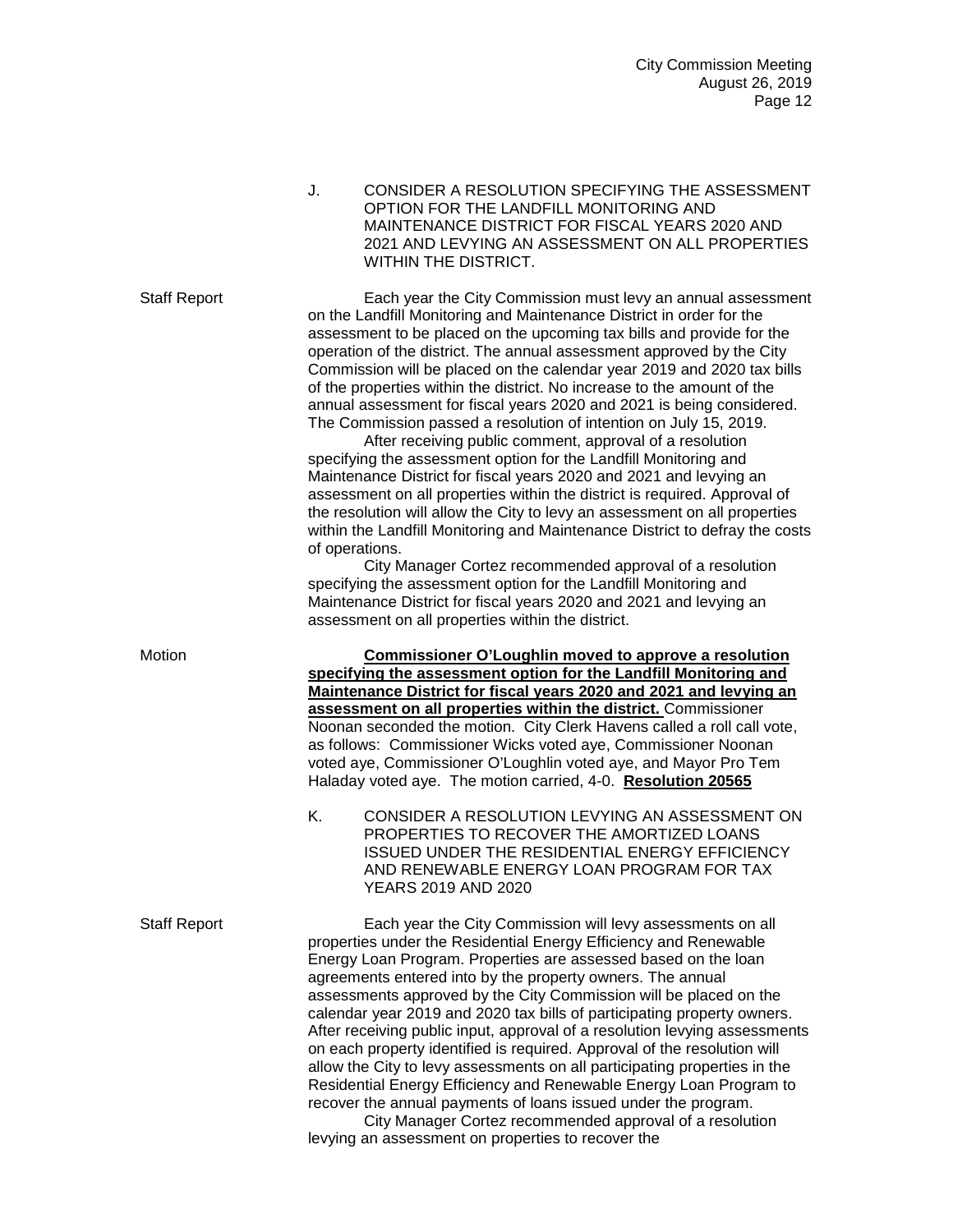J. CONSIDER A RESOLUTION SPECIFYING THE ASSESSMENT OPTION FOR THE LANDFILL MONITORING AND MAINTENANCE DISTRICT FOR FISCAL YEARS 2020 AND 2021 AND LEVYING AN ASSESSMENT ON ALL PROPERTIES WITHIN THE DISTRICT. Staff Report Each year the City Commission must levy an annual assessment on the Landfill Monitoring and Maintenance District in order for the assessment to be placed on the upcoming tax bills and provide for the operation of the district. The annual assessment approved by the City Commission will be placed on the calendar year 2019 and 2020 tax bills of the properties within the district. No increase to the amount of the annual assessment for fiscal years 2020 and 2021 is being considered. The Commission passed a resolution of intention on July 15, 2019. After receiving public comment, approval of a resolution specifying the assessment option for the Landfill Monitoring and Maintenance District for fiscal years 2020 and 2021 and levying an assessment on all properties within the district is required. Approval of the resolution will allow the City to levy an assessment on all properties within the Landfill Monitoring and Maintenance District to defray the costs of operations. City Manager Cortez recommended approval of a resolution specifying the assessment option for the Landfill Monitoring and Maintenance District for fiscal years 2020 and 2021 and levying an assessment on all properties within the district. Motion **Commissioner O'Loughlin moved to approve a resolution specifying the assessment option for the Landfill Monitoring and Maintenance District for fiscal years 2020 and 2021 and levying an assessment on all properties within the district.** Commissioner Noonan seconded the motion. City Clerk Havens called a roll call vote, as follows: Commissioner Wicks voted aye, Commissioner Noonan voted aye, Commissioner O'Loughlin voted aye, and Mayor Pro Tem Haladay voted aye. The motion carried, 4-0. **Resolution 20565** K. CONSIDER A RESOLUTION LEVYING AN ASSESSMENT ON PROPERTIES TO RECOVER THE AMORTIZED LOANS ISSUED UNDER THE RESIDENTIAL ENERGY EFFICIENCY AND RENEWABLE ENERGY LOAN PROGRAM FOR TAX YEARS 2019 AND 2020 Staff Report Each year the City Commission will levy assessments on all properties under the Residential Energy Efficiency and Renewable Energy Loan Program. Properties are assessed based on the loan agreements entered into by the property owners. The annual assessments approved by the City Commission will be placed on the calendar year 2019 and 2020 tax bills of participating property owners. After receiving public input, approval of a resolution levying assessments on each property identified is required. Approval of the resolution will

> allow the City to levy assessments on all participating properties in the Residential Energy Efficiency and Renewable Energy Loan Program to recover the annual payments of loans issued under the program. City Manager Cortez recommended approval of a resolution levying an assessment on properties to recover the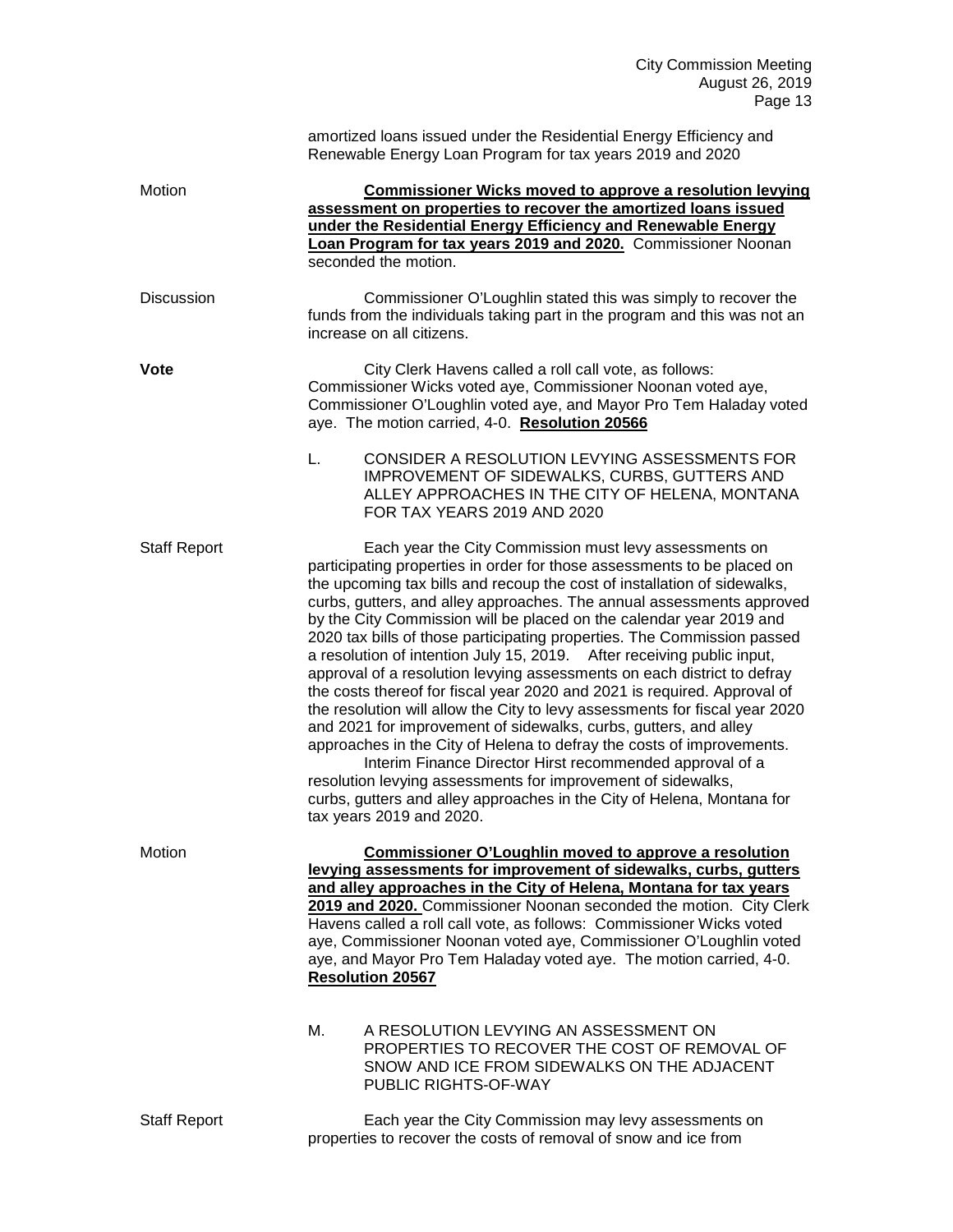|                     | amortized loans issued under the Residential Energy Efficiency and<br>Renewable Energy Loan Program for tax years 2019 and 2020                                                                                                                                                                                                                                                                                                                                                                                                                                                                                                                                                                                                                                                                                                                                                                                                                                                                                                                                                                                                         |  |  |
|---------------------|-----------------------------------------------------------------------------------------------------------------------------------------------------------------------------------------------------------------------------------------------------------------------------------------------------------------------------------------------------------------------------------------------------------------------------------------------------------------------------------------------------------------------------------------------------------------------------------------------------------------------------------------------------------------------------------------------------------------------------------------------------------------------------------------------------------------------------------------------------------------------------------------------------------------------------------------------------------------------------------------------------------------------------------------------------------------------------------------------------------------------------------------|--|--|
| Motion              | <b>Commissioner Wicks moved to approve a resolution levying</b><br>assessment on properties to recover the amortized loans issued<br>under the Residential Energy Efficiency and Renewable Energy<br>Loan Program for tax years 2019 and 2020. Commissioner Noonan<br>seconded the motion.                                                                                                                                                                                                                                                                                                                                                                                                                                                                                                                                                                                                                                                                                                                                                                                                                                              |  |  |
| <b>Discussion</b>   | Commissioner O'Loughlin stated this was simply to recover the<br>funds from the individuals taking part in the program and this was not an<br>increase on all citizens.                                                                                                                                                                                                                                                                                                                                                                                                                                                                                                                                                                                                                                                                                                                                                                                                                                                                                                                                                                 |  |  |
| <b>Vote</b>         | City Clerk Havens called a roll call vote, as follows:<br>Commissioner Wicks voted aye, Commissioner Noonan voted aye,<br>Commissioner O'Loughlin voted aye, and Mayor Pro Tem Haladay voted<br>aye. The motion carried, 4-0. Resolution 20566                                                                                                                                                                                                                                                                                                                                                                                                                                                                                                                                                                                                                                                                                                                                                                                                                                                                                          |  |  |
|                     | L.<br>CONSIDER A RESOLUTION LEVYING ASSESSMENTS FOR<br>IMPROVEMENT OF SIDEWALKS, CURBS, GUTTERS AND<br>ALLEY APPROACHES IN THE CITY OF HELENA, MONTANA<br>FOR TAX YEARS 2019 AND 2020                                                                                                                                                                                                                                                                                                                                                                                                                                                                                                                                                                                                                                                                                                                                                                                                                                                                                                                                                   |  |  |
| <b>Staff Report</b> | Each year the City Commission must levy assessments on<br>participating properties in order for those assessments to be placed on<br>the upcoming tax bills and recoup the cost of installation of sidewalks,<br>curbs, gutters, and alley approaches. The annual assessments approved<br>by the City Commission will be placed on the calendar year 2019 and<br>2020 tax bills of those participating properties. The Commission passed<br>a resolution of intention July 15, 2019. After receiving public input,<br>approval of a resolution levying assessments on each district to defray<br>the costs thereof for fiscal year 2020 and 2021 is required. Approval of<br>the resolution will allow the City to levy assessments for fiscal year 2020<br>and 2021 for improvement of sidewalks, curbs, gutters, and alley<br>approaches in the City of Helena to defray the costs of improvements.<br>Interim Finance Director Hirst recommended approval of a<br>resolution levying assessments for improvement of sidewalks,<br>curbs, gutters and alley approaches in the City of Helena, Montana for<br>tax years 2019 and 2020. |  |  |
| Motion              | <b>Commissioner O'Loughlin moved to approve a resolution</b><br>levying assessments for improvement of sidewalks, curbs, gutters<br>and alley approaches in the City of Helena, Montana for tax years<br>2019 and 2020. Commissioner Noonan seconded the motion. City Clerk<br>Havens called a roll call vote, as follows: Commissioner Wicks voted<br>aye, Commissioner Noonan voted aye, Commissioner O'Loughlin voted<br>aye, and Mayor Pro Tem Haladay voted aye. The motion carried, 4-0.<br><b>Resolution 20567</b>                                                                                                                                                                                                                                                                                                                                                                                                                                                                                                                                                                                                               |  |  |
|                     | М.<br>A RESOLUTION LEVYING AN ASSESSMENT ON<br>PROPERTIES TO RECOVER THE COST OF REMOVAL OF<br>SNOW AND ICE FROM SIDEWALKS ON THE ADJACENT<br>PUBLIC RIGHTS-OF-WAY                                                                                                                                                                                                                                                                                                                                                                                                                                                                                                                                                                                                                                                                                                                                                                                                                                                                                                                                                                      |  |  |
| <b>Staff Report</b> | Each year the City Commission may levy assessments on<br>properties to recover the costs of removal of snow and ice from                                                                                                                                                                                                                                                                                                                                                                                                                                                                                                                                                                                                                                                                                                                                                                                                                                                                                                                                                                                                                |  |  |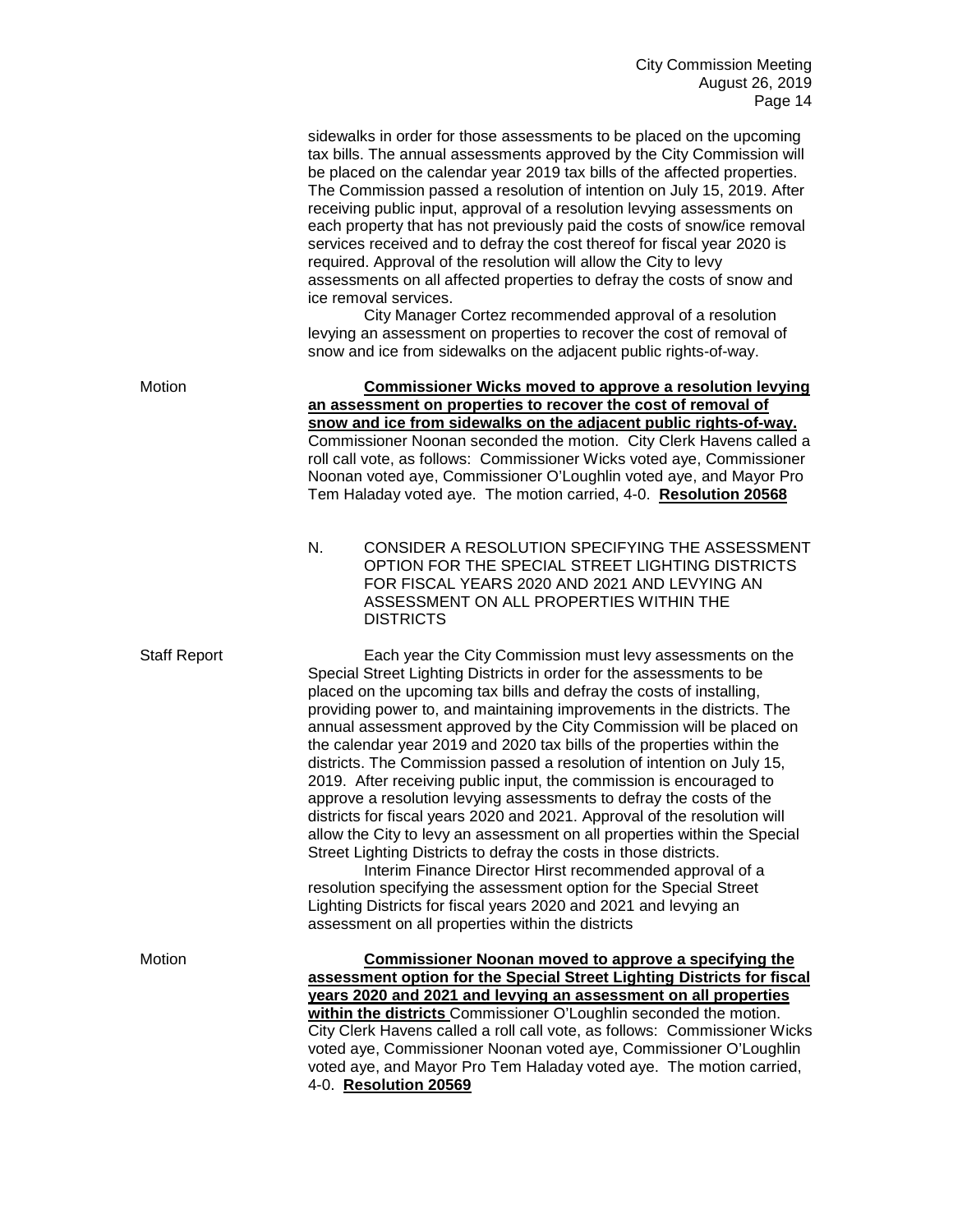| sidewalks in order for those assessments to be placed on the upcoming     |
|---------------------------------------------------------------------------|
| tax bills. The annual assessments approved by the City Commission will    |
| be placed on the calendar year 2019 tax bills of the affected properties. |
| The Commission passed a resolution of intention on July 15, 2019. After   |
| receiving public input, approval of a resolution levying assessments on   |
| each property that has not previously paid the costs of snow/ice removal  |
| services received and to defray the cost thereof for fiscal year 2020 is  |
| required. Approval of the resolution will allow the City to levy          |
| assessments on all affected properties to defray the costs of snow and    |
| ice removal services.                                                     |
|                                                                           |

City Manager Cortez recommended approval of a resolution levying an assessment on properties to recover the cost of removal of snow and ice from sidewalks on the adjacent public rights-of-way.

Motion **Commissioner Wicks moved to approve a resolution levying an assessment on properties to recover the cost of removal of snow and ice from sidewalks on the adjacent public rights-of-way.**  Commissioner Noonan seconded the motion. City Clerk Havens called a roll call vote, as follows: Commissioner Wicks voted aye, Commissioner Noonan voted aye, Commissioner O'Loughlin voted aye, and Mayor Pro Tem Haladay voted aye. The motion carried, 4-0. **Resolution 20568**

> N. CONSIDER A RESOLUTION SPECIFYING THE ASSESSMENT OPTION FOR THE SPECIAL STREET LIGHTING DISTRICTS FOR FISCAL YEARS 2020 AND 2021 AND LEVYING AN ASSESSMENT ON ALL PROPERTIES WITHIN THE DISTRICTS

Staff Report Each year the City Commission must levy assessments on the Special Street Lighting Districts in order for the assessments to be placed on the upcoming tax bills and defray the costs of installing, providing power to, and maintaining improvements in the districts. The annual assessment approved by the City Commission will be placed on the calendar year 2019 and 2020 tax bills of the properties within the districts. The Commission passed a resolution of intention on July 15, 2019. After receiving public input, the commission is encouraged to approve a resolution levying assessments to defray the costs of the districts for fiscal years 2020 and 2021. Approval of the resolution will allow the City to levy an assessment on all properties within the Special Street Lighting Districts to defray the costs in those districts.

> Interim Finance Director Hirst recommended approval of a resolution specifying the assessment option for the Special Street Lighting Districts for fiscal years 2020 and 2021 and levying an assessment on all properties within the districts

Motion **Commissioner Noonan moved to approve a specifying the assessment option for the Special Street Lighting Districts for fiscal years 2020 and 2021 and levying an assessment on all properties within the districts** Commissioner O'Loughlin seconded the motion. City Clerk Havens called a roll call vote, as follows: Commissioner Wicks voted aye, Commissioner Noonan voted aye, Commissioner O'Loughlin voted aye, and Mayor Pro Tem Haladay voted aye. The motion carried, 4-0. **Resolution 20569**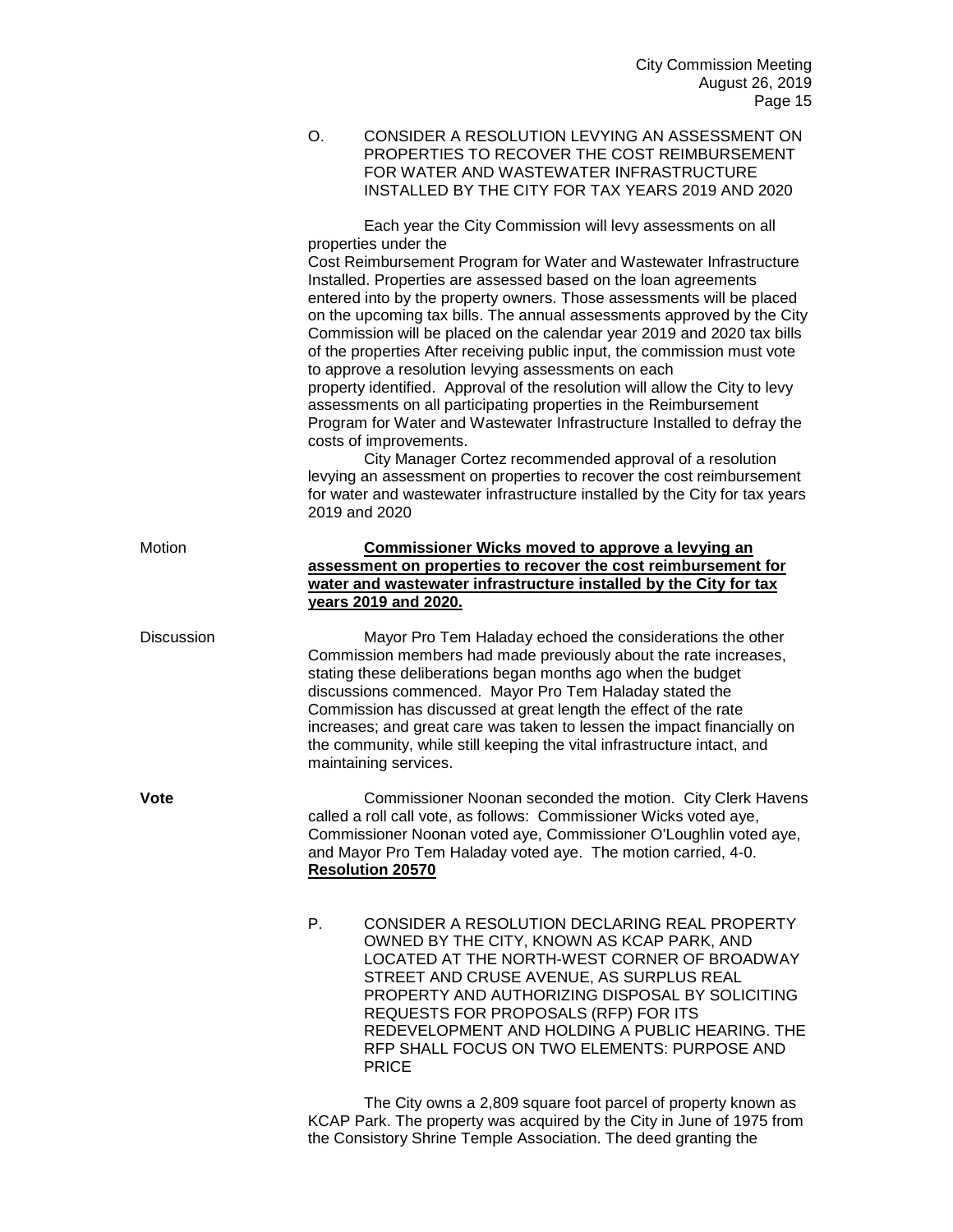O. CONSIDER A RESOLUTION LEVYING AN ASSESSMENT ON PROPERTIES TO RECOVER THE COST REIMBURSEMENT FOR WATER AND WASTEWATER INFRASTRUCTURE INSTALLED BY THE CITY FOR TAX YEARS 2019 AND 2020

Each year the City Commission will levy assessments on all properties under the Cost Reimbursement Program for Water and Wastewater Infrastructure Installed. Properties are assessed based on the loan agreements entered into by the property owners. Those assessments will be placed on the upcoming tax bills. The annual assessments approved by the City Commission will be placed on the calendar year 2019 and 2020 tax bills of the properties After receiving public input, the commission must vote to approve a resolution levying assessments on each property identified. Approval of the resolution will allow the City to levy assessments on all participating properties in the Reimbursement Program for Water and Wastewater Infrastructure Installed to defray the costs of improvements. City Manager Cortez recommended approval of a resolution levying an assessment on properties to recover the cost reimbursement for water and wastewater infrastructure installed by the City for tax years 2019 and 2020 Motion **Commissioner Wicks moved to approve a levying an assessment on properties to recover the cost reimbursement for water and wastewater infrastructure installed by the City for tax years 2019 and 2020.** Discussion Mayor Pro Tem Haladay echoed the considerations the other Commission members had made previously about the rate increases, stating these deliberations began months ago when the budget discussions commenced. Mayor Pro Tem Haladay stated the Commission has discussed at great length the effect of the rate increases; and great care was taken to lessen the impact financially on the community, while still keeping the vital infrastructure intact, and maintaining services. **Vote** Commissioner Noonan seconded the motion. City Clerk Havens called a roll call vote, as follows: Commissioner Wicks voted aye, Commissioner Noonan voted aye, Commissioner O'Loughlin voted aye, and Mayor Pro Tem Haladay voted aye. The motion carried, 4-0. **Resolution 20570** P. CONSIDER A RESOLUTION DECLARING REAL PROPERTY OWNED BY THE CITY, KNOWN AS KCAP PARK, AND LOCATED AT THE NORTH-WEST CORNER OF BROADWAY STREET AND CRUSE AVENUE, AS SURPLUS REAL PROPERTY AND AUTHORIZING DISPOSAL BY SOLICITING REQUESTS FOR PROPOSALS (RFP) FOR ITS REDEVELOPMENT AND HOLDING A PUBLIC HEARING. THE RFP SHALL FOCUS ON TWO ELEMENTS: PURPOSE AND PRICE

> The City owns a 2,809 square foot parcel of property known as KCAP Park. The property was acquired by the City in June of 1975 from the Consistory Shrine Temple Association. The deed granting the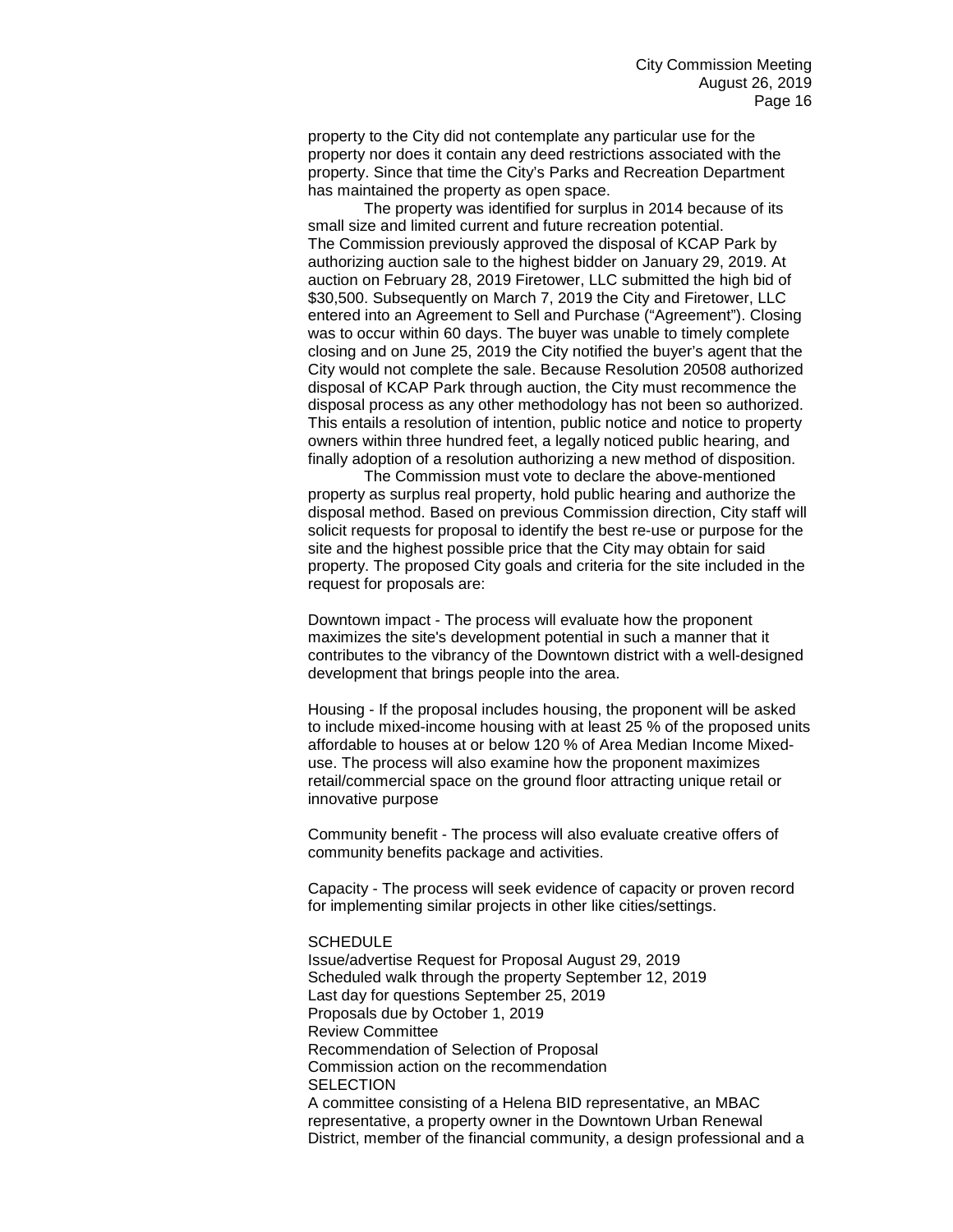property to the City did not contemplate any particular use for the property nor does it contain any deed restrictions associated with the property. Since that time the City's Parks and Recreation Department has maintained the property as open space.

The property was identified for surplus in 2014 because of its small size and limited current and future recreation potential. The Commission previously approved the disposal of KCAP Park by authorizing auction sale to the highest bidder on January 29, 2019. At auction on February 28, 2019 Firetower, LLC submitted the high bid of \$30,500. Subsequently on March 7, 2019 the City and Firetower, LLC entered into an Agreement to Sell and Purchase ("Agreement"). Closing was to occur within 60 days. The buyer was unable to timely complete closing and on June 25, 2019 the City notified the buyer's agent that the City would not complete the sale. Because Resolution 20508 authorized disposal of KCAP Park through auction, the City must recommence the disposal process as any other methodology has not been so authorized. This entails a resolution of intention, public notice and notice to property owners within three hundred feet, a legally noticed public hearing, and finally adoption of a resolution authorizing a new method of disposition.

The Commission must vote to declare the above-mentioned property as surplus real property, hold public hearing and authorize the disposal method. Based on previous Commission direction, City staff will solicit requests for proposal to identify the best re-use or purpose for the site and the highest possible price that the City may obtain for said property. The proposed City goals and criteria for the site included in the request for proposals are:

Downtown impact - The process will evaluate how the proponent maximizes the site's development potential in such a manner that it contributes to the vibrancy of the Downtown district with a well-designed development that brings people into the area.

Housing - If the proposal includes housing, the proponent will be asked to include mixed-income housing with at least 25 % of the proposed units affordable to houses at or below 120 % of Area Median Income Mixeduse. The process will also examine how the proponent maximizes retail/commercial space on the ground floor attracting unique retail or innovative purpose

Community benefit - The process will also evaluate creative offers of community benefits package and activities.

Capacity - The process will seek evidence of capacity or proven record for implementing similar projects in other like cities/settings.

## **SCHEDULE**

Issue/advertise Request for Proposal August 29, 2019 Scheduled walk through the property September 12, 2019 Last day for questions September 25, 2019 Proposals due by October 1, 2019 Review Committee Recommendation of Selection of Proposal Commission action on the recommendation **SELECTION** A committee consisting of a Helena BID representative, an MBAC representative, a property owner in the Downtown Urban Renewal District, member of the financial community, a design professional and a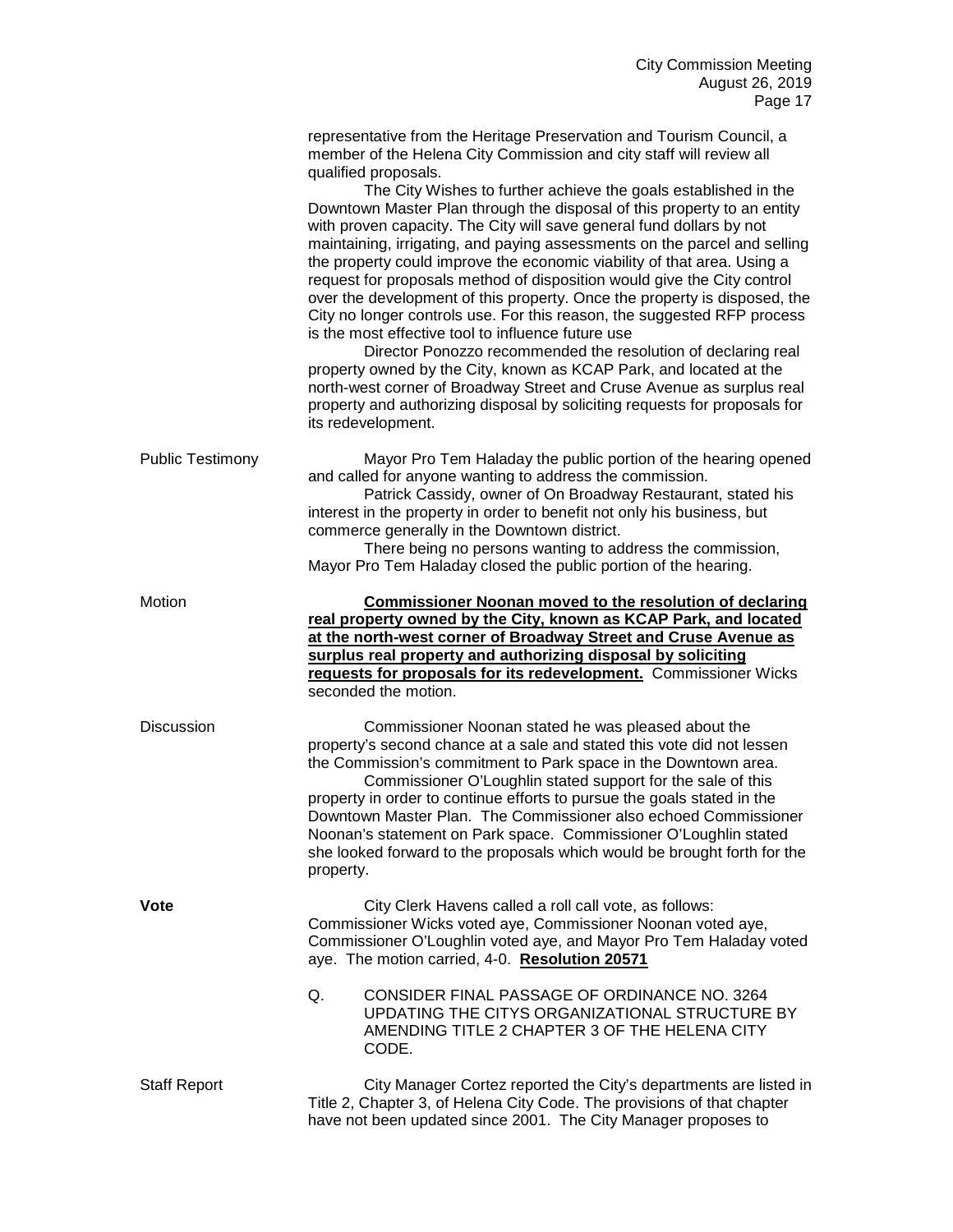|                         | representative from the Heritage Preservation and Tourism Council, a<br>member of the Helena City Commission and city staff will review all<br>qualified proposals.<br>The City Wishes to further achieve the goals established in the<br>Downtown Master Plan through the disposal of this property to an entity<br>with proven capacity. The City will save general fund dollars by not<br>maintaining, irrigating, and paying assessments on the parcel and selling<br>the property could improve the economic viability of that area. Using a<br>request for proposals method of disposition would give the City control<br>over the development of this property. Once the property is disposed, the<br>City no longer controls use. For this reason, the suggested RFP process<br>is the most effective tool to influence future use<br>Director Ponozzo recommended the resolution of declaring real<br>property owned by the City, known as KCAP Park, and located at the<br>north-west corner of Broadway Street and Cruse Avenue as surplus real<br>property and authorizing disposal by soliciting requests for proposals for<br>its redevelopment. |  |
|-------------------------|----------------------------------------------------------------------------------------------------------------------------------------------------------------------------------------------------------------------------------------------------------------------------------------------------------------------------------------------------------------------------------------------------------------------------------------------------------------------------------------------------------------------------------------------------------------------------------------------------------------------------------------------------------------------------------------------------------------------------------------------------------------------------------------------------------------------------------------------------------------------------------------------------------------------------------------------------------------------------------------------------------------------------------------------------------------------------------------------------------------------------------------------------------------|--|
| <b>Public Testimony</b> | Mayor Pro Tem Haladay the public portion of the hearing opened<br>and called for anyone wanting to address the commission.<br>Patrick Cassidy, owner of On Broadway Restaurant, stated his<br>interest in the property in order to benefit not only his business, but<br>commerce generally in the Downtown district.<br>There being no persons wanting to address the commission,<br>Mayor Pro Tem Haladay closed the public portion of the hearing.                                                                                                                                                                                                                                                                                                                                                                                                                                                                                                                                                                                                                                                                                                          |  |
| Motion                  | <b>Commissioner Noonan moved to the resolution of declaring</b><br>real property owned by the City, known as KCAP Park, and located<br>at the north-west corner of Broadway Street and Cruse Avenue as<br>surplus real property and authorizing disposal by soliciting<br>requests for proposals for its redevelopment. Commissioner Wicks<br>seconded the motion.                                                                                                                                                                                                                                                                                                                                                                                                                                                                                                                                                                                                                                                                                                                                                                                             |  |
| Discussion              | Commissioner Noonan stated he was pleased about the<br>property's second chance at a sale and stated this vote did not lessen<br>the Commission's commitment to Park space in the Downtown area.<br>Commissioner O'Loughlin stated support for the sale of this<br>property in order to continue efforts to pursue the goals stated in the<br>Downtown Master Plan. The Commissioner also echoed Commissioner<br>Noonan's statement on Park space. Commissioner O'Loughlin stated<br>she looked forward to the proposals which would be brought forth for the<br>property.                                                                                                                                                                                                                                                                                                                                                                                                                                                                                                                                                                                     |  |
| <b>Vote</b>             | City Clerk Havens called a roll call vote, as follows:<br>Commissioner Wicks voted aye, Commissioner Noonan voted aye,<br>Commissioner O'Loughlin voted aye, and Mayor Pro Tem Haladay voted<br>aye. The motion carried, 4-0. Resolution 20571                                                                                                                                                                                                                                                                                                                                                                                                                                                                                                                                                                                                                                                                                                                                                                                                                                                                                                                 |  |
|                         | CONSIDER FINAL PASSAGE OF ORDINANCE NO. 3264<br>Q.<br>UPDATING THE CITYS ORGANIZATIONAL STRUCTURE BY<br>AMENDING TITLE 2 CHAPTER 3 OF THE HELENA CITY<br>CODE.                                                                                                                                                                                                                                                                                                                                                                                                                                                                                                                                                                                                                                                                                                                                                                                                                                                                                                                                                                                                 |  |
| <b>Staff Report</b>     | City Manager Cortez reported the City's departments are listed in<br>Title 2, Chapter 3, of Helena City Code. The provisions of that chapter<br>have not been updated since 2001. The City Manager proposes to                                                                                                                                                                                                                                                                                                                                                                                                                                                                                                                                                                                                                                                                                                                                                                                                                                                                                                                                                 |  |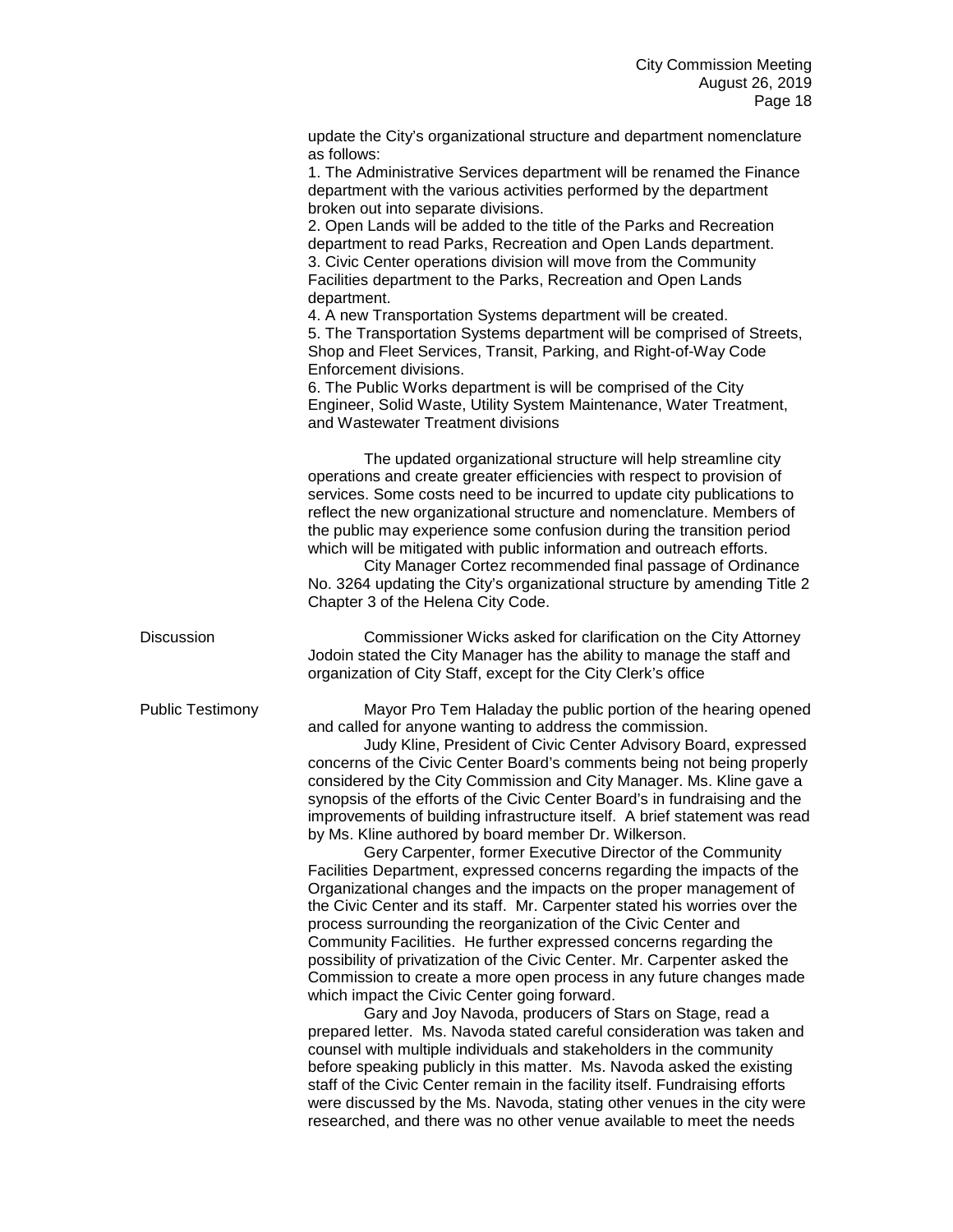|                         | update the City's organizational structure and department nomenclature<br>as follows:<br>1. The Administrative Services department will be renamed the Finance<br>department with the various activities performed by the department<br>broken out into separate divisions.<br>2. Open Lands will be added to the title of the Parks and Recreation<br>department to read Parks, Recreation and Open Lands department.<br>3. Civic Center operations division will move from the Community<br>Facilities department to the Parks, Recreation and Open Lands<br>department.<br>4. A new Transportation Systems department will be created.<br>5. The Transportation Systems department will be comprised of Streets,<br>Shop and Fleet Services, Transit, Parking, and Right-of-Way Code<br>Enforcement divisions.<br>6. The Public Works department is will be comprised of the City<br>Engineer, Solid Waste, Utility System Maintenance, Water Treatment,<br>and Wastewater Treatment divisions                                                                                                                                                                                                                                                                                                                                                                                                                                                                                                                                                                                                                                                                                                                                   |
|-------------------------|-------------------------------------------------------------------------------------------------------------------------------------------------------------------------------------------------------------------------------------------------------------------------------------------------------------------------------------------------------------------------------------------------------------------------------------------------------------------------------------------------------------------------------------------------------------------------------------------------------------------------------------------------------------------------------------------------------------------------------------------------------------------------------------------------------------------------------------------------------------------------------------------------------------------------------------------------------------------------------------------------------------------------------------------------------------------------------------------------------------------------------------------------------------------------------------------------------------------------------------------------------------------------------------------------------------------------------------------------------------------------------------------------------------------------------------------------------------------------------------------------------------------------------------------------------------------------------------------------------------------------------------------------------------------------------------------------------------------------------------|
|                         | The updated organizational structure will help streamline city<br>operations and create greater efficiencies with respect to provision of<br>services. Some costs need to be incurred to update city publications to<br>reflect the new organizational structure and nomenclature. Members of<br>the public may experience some confusion during the transition period<br>which will be mitigated with public information and outreach efforts.<br>City Manager Cortez recommended final passage of Ordinance<br>No. 3264 updating the City's organizational structure by amending Title 2<br>Chapter 3 of the Helena City Code.                                                                                                                                                                                                                                                                                                                                                                                                                                                                                                                                                                                                                                                                                                                                                                                                                                                                                                                                                                                                                                                                                                    |
| <b>Discussion</b>       | Commissioner Wicks asked for clarification on the City Attorney<br>Jodoin stated the City Manager has the ability to manage the staff and<br>organization of City Staff, except for the City Clerk's office                                                                                                                                                                                                                                                                                                                                                                                                                                                                                                                                                                                                                                                                                                                                                                                                                                                                                                                                                                                                                                                                                                                                                                                                                                                                                                                                                                                                                                                                                                                         |
| <b>Public Testimony</b> | Mayor Pro Tem Haladay the public portion of the hearing opened<br>and called for anyone wanting to address the commission.<br>Judy Kline, President of Civic Center Advisory Board, expressed<br>concerns of the Civic Center Board's comments being not being properly<br>considered by the City Commission and City Manager. Ms. Kline gave a<br>synopsis of the efforts of the Civic Center Board's in fundraising and the<br>improvements of building infrastructure itself. A brief statement was read<br>by Ms. Kline authored by board member Dr. Wilkerson.<br>Gery Carpenter, former Executive Director of the Community<br>Facilities Department, expressed concerns regarding the impacts of the<br>Organizational changes and the impacts on the proper management of<br>the Civic Center and its staff. Mr. Carpenter stated his worries over the<br>process surrounding the reorganization of the Civic Center and<br>Community Facilities. He further expressed concerns regarding the<br>possibility of privatization of the Civic Center. Mr. Carpenter asked the<br>Commission to create a more open process in any future changes made<br>which impact the Civic Center going forward.<br>Gary and Joy Navoda, producers of Stars on Stage, read a<br>prepared letter. Ms. Navoda stated careful consideration was taken and<br>counsel with multiple individuals and stakeholders in the community<br>before speaking publicly in this matter. Ms. Navoda asked the existing<br>staff of the Civic Center remain in the facility itself. Fundraising efforts<br>were discussed by the Ms. Navoda, stating other venues in the city were<br>researched, and there was no other venue available to meet the needs |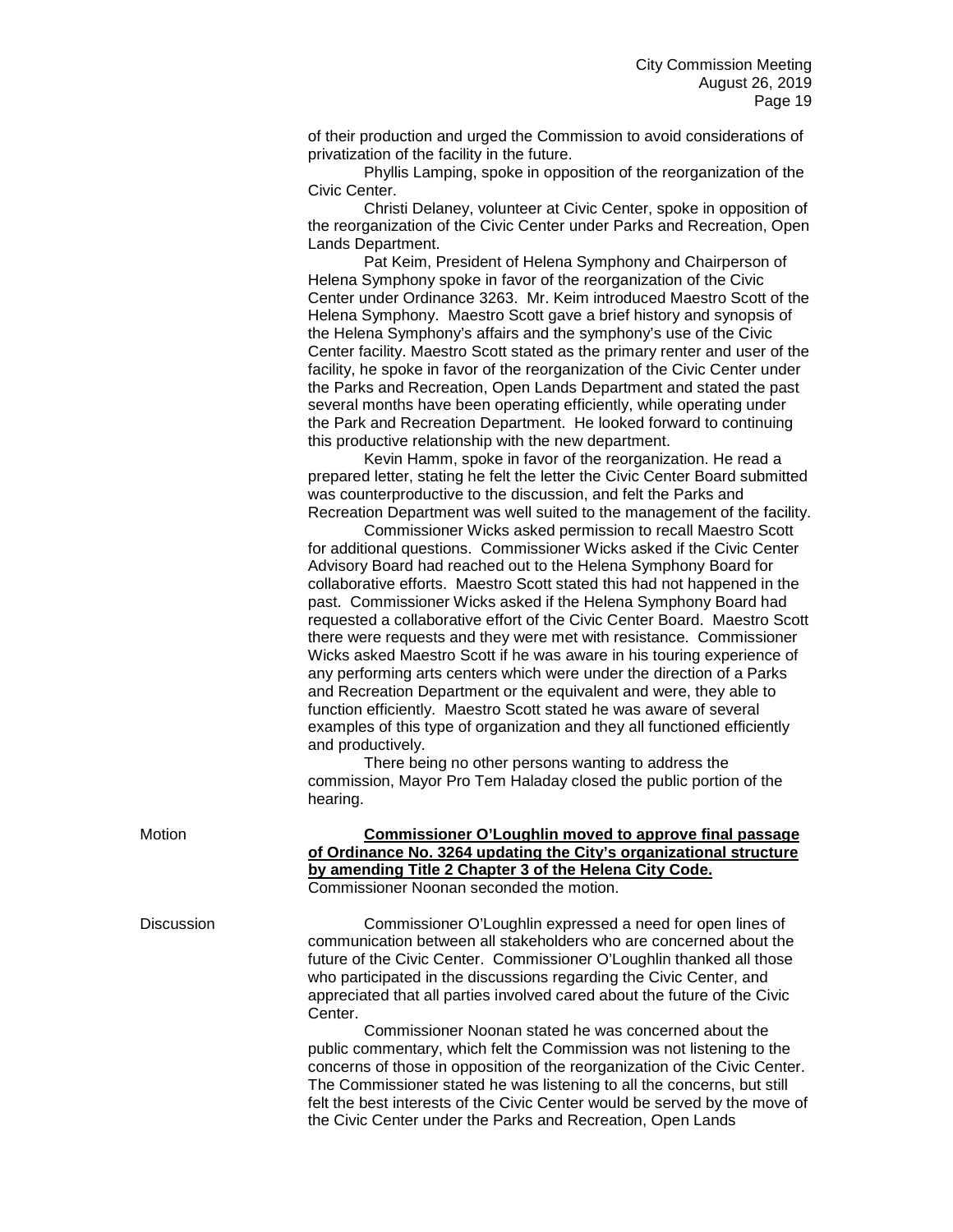of their production and urged the Commission to avoid considerations of privatization of the facility in the future.

Phyllis Lamping, spoke in opposition of the reorganization of the Civic Center.

Christi Delaney, volunteer at Civic Center, spoke in opposition of the reorganization of the Civic Center under Parks and Recreation, Open Lands Department.

Pat Keim, President of Helena Symphony and Chairperson of Helena Symphony spoke in favor of the reorganization of the Civic Center under Ordinance 3263. Mr. Keim introduced Maestro Scott of the Helena Symphony. Maestro Scott gave a brief history and synopsis of the Helena Symphony's affairs and the symphony's use of the Civic Center facility. Maestro Scott stated as the primary renter and user of the facility, he spoke in favor of the reorganization of the Civic Center under the Parks and Recreation, Open Lands Department and stated the past several months have been operating efficiently, while operating under the Park and Recreation Department. He looked forward to continuing this productive relationship with the new department.

Kevin Hamm, spoke in favor of the reorganization. He read a prepared letter, stating he felt the letter the Civic Center Board submitted was counterproductive to the discussion, and felt the Parks and Recreation Department was well suited to the management of the facility.

Commissioner Wicks asked permission to recall Maestro Scott for additional questions. Commissioner Wicks asked if the Civic Center Advisory Board had reached out to the Helena Symphony Board for collaborative efforts. Maestro Scott stated this had not happened in the past. Commissioner Wicks asked if the Helena Symphony Board had requested a collaborative effort of the Civic Center Board. Maestro Scott there were requests and they were met with resistance. Commissioner Wicks asked Maestro Scott if he was aware in his touring experience of any performing arts centers which were under the direction of a Parks and Recreation Department or the equivalent and were, they able to function efficiently. Maestro Scott stated he was aware of several examples of this type of organization and they all functioned efficiently and productively.

There being no other persons wanting to address the commission, Mayor Pro Tem Haladay closed the public portion of the hearing.

| Motion | Commissioner O'Loughlin moved to approve final passage             |
|--------|--------------------------------------------------------------------|
|        | of Ordinance No. 3264 updating the City's organizational structure |
|        | by amending Title 2 Chapter 3 of the Helena City Code.             |
|        | Commissioner Noonan seconded the motion.                           |

Discussion Commissioner O'Loughlin expressed a need for open lines of communication between all stakeholders who are concerned about the future of the Civic Center. Commissioner O'Loughlin thanked all those who participated in the discussions regarding the Civic Center, and appreciated that all parties involved cared about the future of the Civic Center.

> Commissioner Noonan stated he was concerned about the public commentary, which felt the Commission was not listening to the concerns of those in opposition of the reorganization of the Civic Center. The Commissioner stated he was listening to all the concerns, but still felt the best interests of the Civic Center would be served by the move of the Civic Center under the Parks and Recreation, Open Lands

|  | Motion |
|--|--------|
|  |        |
|  |        |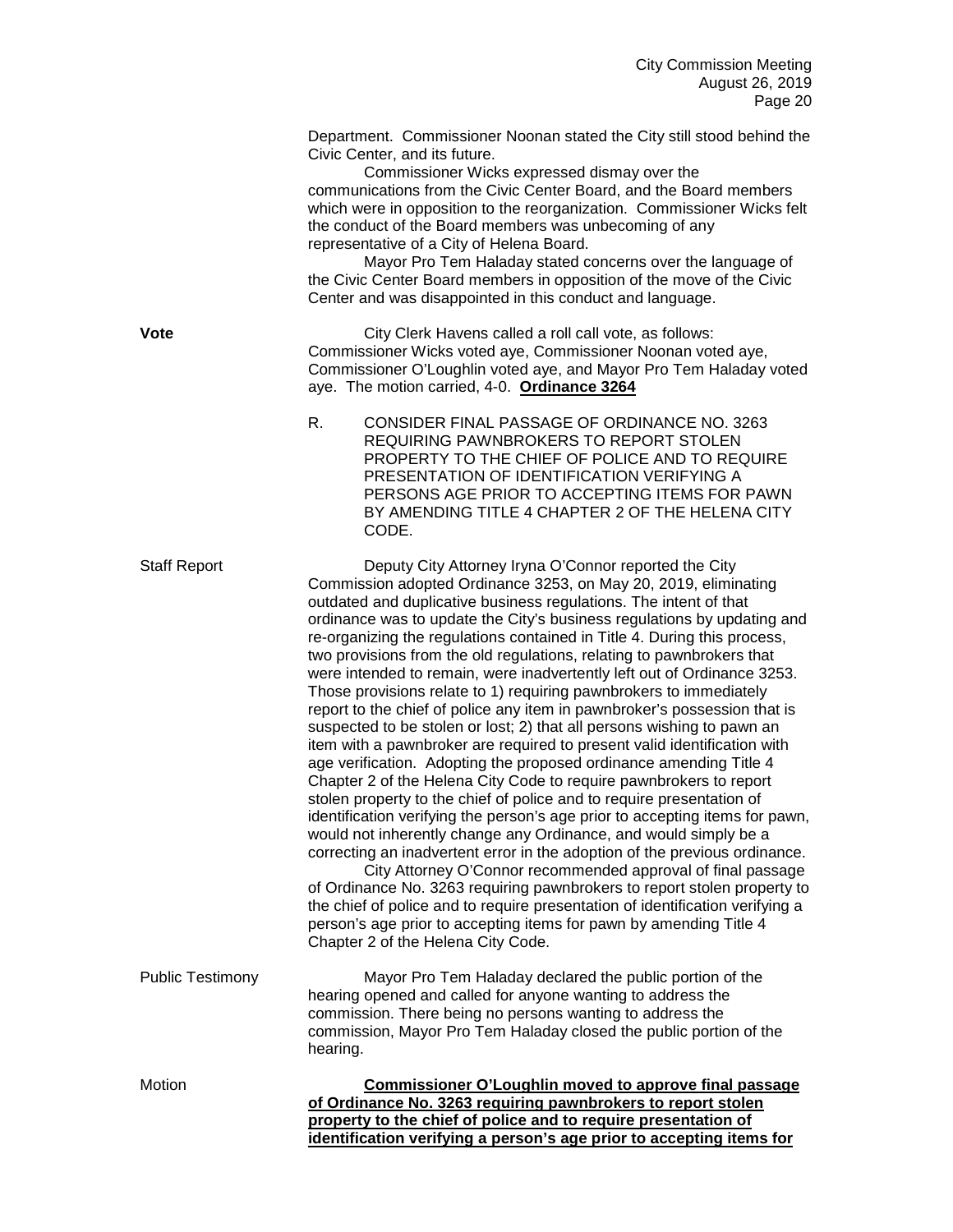Department. Commissioner Noonan stated the City still stood behind the Civic Center, and its future.

Commissioner Wicks expressed dismay over the communications from the Civic Center Board, and the Board members which were in opposition to the reorganization. Commissioner Wicks felt the conduct of the Board members was unbecoming of any representative of a City of Helena Board.

Mayor Pro Tem Haladay stated concerns over the language of the Civic Center Board members in opposition of the move of the Civic Center and was disappointed in this conduct and language.

**Vote** City Clerk Havens called a roll call vote, as follows: Commissioner Wicks voted aye, Commissioner Noonan voted aye, Commissioner O'Loughlin voted aye, and Mayor Pro Tem Haladay voted aye. The motion carried, 4-0. **Ordinance 3264**

> R. CONSIDER FINAL PASSAGE OF ORDINANCE NO. 3263 REQUIRING PAWNBROKERS TO REPORT STOLEN PROPERTY TO THE CHIEF OF POLICE AND TO REQUIRE PRESENTATION OF IDENTIFICATION VERIFYING A PERSONS AGE PRIOR TO ACCEPTING ITEMS FOR PAWN BY AMENDING TITLE 4 CHAPTER 2 OF THE HELENA CITY CODE.

Staff Report Deputy City Attorney Iryna O'Connor reported the City Commission adopted Ordinance 3253, on May 20, 2019, eliminating outdated and duplicative business regulations. The intent of that ordinance was to update the City's business regulations by updating and re-organizing the regulations contained in Title 4. During this process, two provisions from the old regulations, relating to pawnbrokers that were intended to remain, were inadvertently left out of Ordinance 3253. Those provisions relate to 1) requiring pawnbrokers to immediately report to the chief of police any item in pawnbroker's possession that is suspected to be stolen or lost; 2) that all persons wishing to pawn an item with a pawnbroker are required to present valid identification with age verification. Adopting the proposed ordinance amending Title 4 Chapter 2 of the Helena City Code to require pawnbrokers to report stolen property to the chief of police and to require presentation of identification verifying the person's age prior to accepting items for pawn, would not inherently change any Ordinance, and would simply be a correcting an inadvertent error in the adoption of the previous ordinance. City Attorney O'Connor recommended approval of final passage

of Ordinance No. 3263 requiring pawnbrokers to report stolen property to the chief of police and to require presentation of identification verifying a person's age prior to accepting items for pawn by amending Title 4 Chapter 2 of the Helena City Code.

Public Testimony Mayor Pro Tem Haladay declared the public portion of the hearing opened and called for anyone wanting to address the commission. There being no persons wanting to address the commission, Mayor Pro Tem Haladay closed the public portion of the hearing.

Motion **Commissioner O'Loughlin moved to approve final passage of Ordinance No. 3263 requiring pawnbrokers to report stolen property to the chief of police and to require presentation of identification verifying a person's age prior to accepting items for**